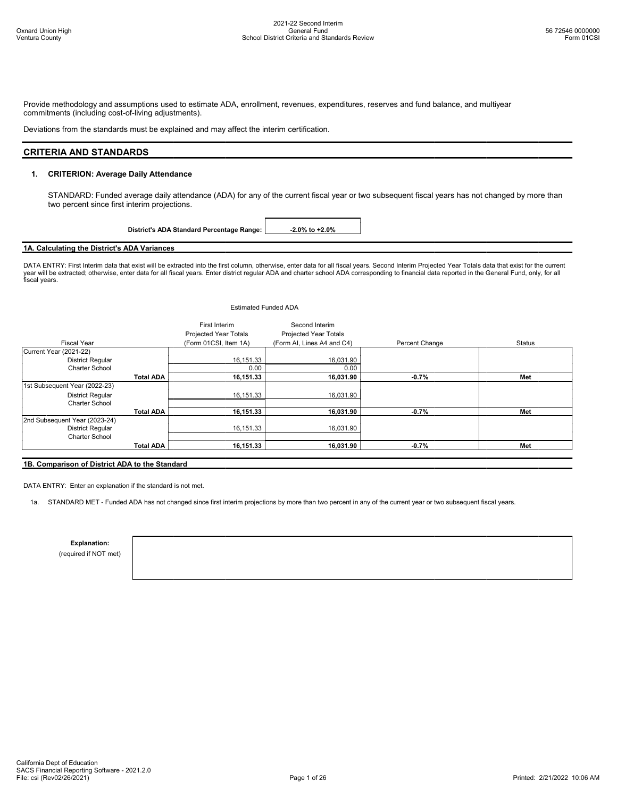Provide methodology and assumptions used to estimate ADA, enrollment, revenues, expenditures, reserves and fund balance, and multiyear commitments (including cost-of-living adjustments).

Deviations from the standards must be explained and may affect the interim certification.

## CRITERIA AND STANDARDS

### 1. CRITERION: Average Daily Attendance

STANDARD: Funded average daily attendance (ADA) for any of the current fiscal year or two subsequent fiscal years has not changed by more than two percent since first interim projections.

District's ADA Standard Percentage Range: | -2.0% to +2.0%

### 1A. Calculating the District's ADA Variances

DATA ENTRY: First Interim data that exist will be extracted into the first column, otherwise, enter data for all fiscal years. Second Interim Projected Year Totals data that exist for the current year will be extracted; otherwise, enter data for all fiscal years. Enter district regular ADA and charter school ADA corresponding to financial data reported in the General Fund, only, for all fiscal years.

|                               |                  | <b>Estimated Funded ADA</b>                   |                                                |                |               |
|-------------------------------|------------------|-----------------------------------------------|------------------------------------------------|----------------|---------------|
|                               |                  | First Interim<br><b>Projected Year Totals</b> | Second Interim<br><b>Projected Year Totals</b> |                |               |
| <b>Fiscal Year</b>            |                  | (Form 01CSI, Item 1A)                         | (Form AI, Lines A4 and C4)                     | Percent Change | <b>Status</b> |
| Current Year (2021-22)        |                  |                                               |                                                |                |               |
| <b>District Regular</b>       |                  | 16,151.33                                     | 16,031.90                                      |                |               |
| Charter School                |                  | 0.00                                          | 0.00                                           |                |               |
|                               | <b>Total ADA</b> | 16,151.33                                     | 16,031.90                                      | $-0.7%$        | Met           |
| 1st Subsequent Year (2022-23) |                  |                                               |                                                |                |               |
| <b>District Regular</b>       |                  | 16,151.33                                     | 16,031.90                                      |                |               |
| <b>Charter School</b>         |                  |                                               |                                                |                |               |
|                               | <b>Total ADA</b> | 16,151.33                                     | 16,031.90                                      | $-0.7%$        | Met           |
| 2nd Subsequent Year (2023-24) |                  |                                               |                                                |                |               |
| District Regular              |                  | 16,151.33                                     | 16,031.90                                      |                |               |
| Charter School                |                  |                                               |                                                |                |               |
|                               | <b>Total ADA</b> | 16,151.33                                     | 16,031.90                                      | $-0.7%$        | Met           |

### 1B. Comparison of District ADA to the Standard

DATA ENTRY: Enter an explanation if the standard is not met.

1a. STANDARD MET - Funded ADA has not changed since first interim projections by more than two percent in any of the current year or two subsequent fiscal years.

Explanation:

(required if NOT met)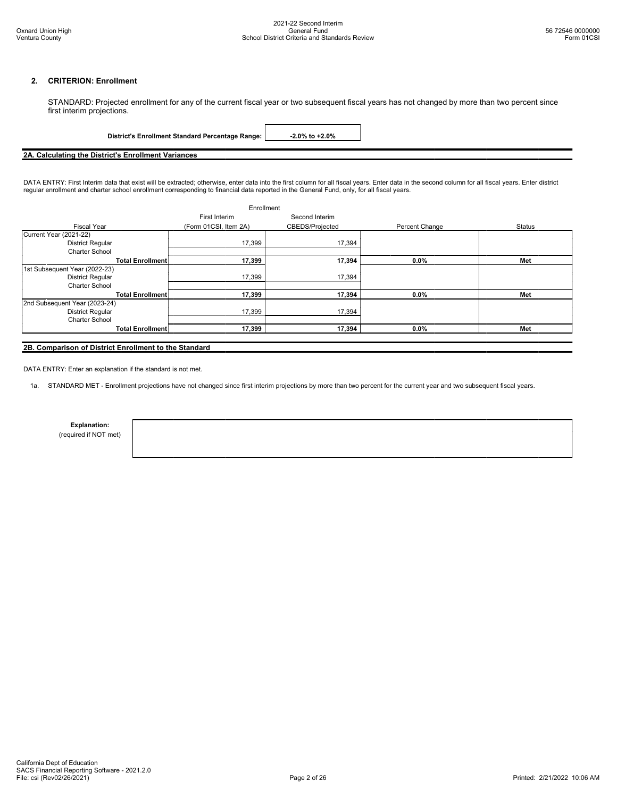### 2. CRITERION: Enrollment

STANDARD: Projected enrollment for any of the current fiscal year or two subsequent fiscal years has not changed by more than two percent since first interim projections.

|--|

# 2A. Calculating the District's Enrollment Variances

DATA ENTRY: First Interim data that exist will be extracted; otherwise, enter data into the first column for all fiscal years. Enter data in the second column for all fiscal years. Enter district regular enrollment and charter school enrollment corresponding to financial data reported in the General Fund, only, for all fiscal years.

| Enrollment                    |                       |                 |                |        |
|-------------------------------|-----------------------|-----------------|----------------|--------|
|                               | First Interim         | Second Interim  |                |        |
| <b>Fiscal Year</b>            | (Form 01CSI, Item 2A) | CBEDS/Projected | Percent Change | Status |
| Current Year (2021-22)        |                       |                 |                |        |
| District Regular              | 17,399                | 17,394          |                |        |
| <b>Charter School</b>         |                       |                 |                |        |
| <b>Total Enrollment</b>       | 17,399                | 17,394          | $0.0\%$        | Met    |
| 1st Subsequent Year (2022-23) |                       |                 |                |        |
| District Regular              | 17,399                | 17,394          |                |        |
| <b>Charter School</b>         |                       |                 |                |        |
| <b>Total Enrollment</b>       | 17,399                | 17,394          | $0.0\%$        | Met    |
| 2nd Subsequent Year (2023-24) |                       |                 |                |        |
| District Regular              | 17,399                | 17,394          |                |        |
| <b>Charter School</b>         |                       |                 |                |        |
| <b>Total Enrollment</b>       | 17,399                | 17,394          | $0.0\%$        | Met    |
|                               |                       |                 |                |        |

### 2B. Comparison of District Enrollment to the Standard

DATA ENTRY: Enter an explanation if the standard is not met.

1a. STANDARD MET - Enrollment projections have not changed since first interim projections by more than two percent for the current year and two subsequent fiscal years.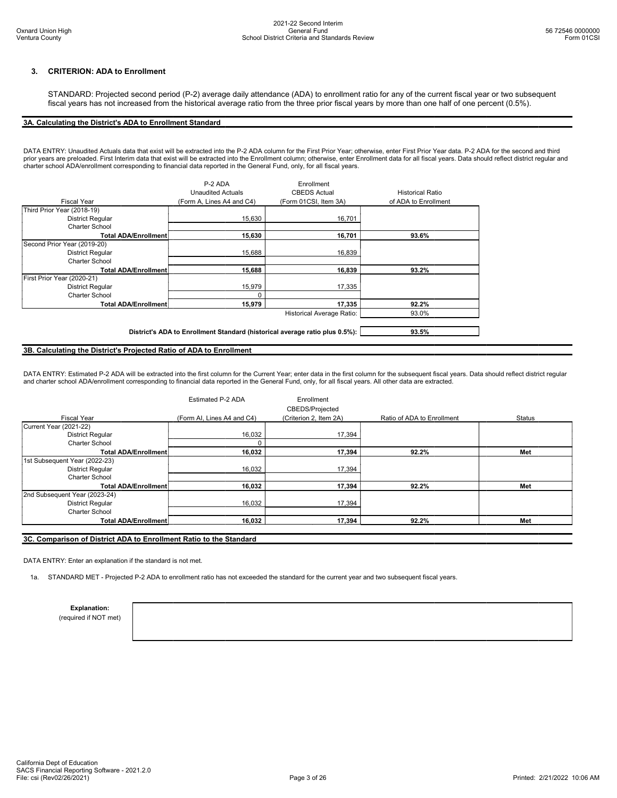### 3. CRITERION: ADA to Enrollment

STANDARD: Projected second period (P-2) average daily attendance (ADA) to enrollment ratio for any of the current fiscal year or two subsequent fiscal years has not increased from the historical average ratio from the three prior fiscal years by more than one half of one percent (0.5%).

### 3A. Calculating the District's ADA to Enrollment Standard

DATA ENTRY: Unaudited Actuals data that exist will be extracted into the P-2 ADA column for the First Prior Year; otherwise, enter First Prior Year data. P-2 ADA for the second and third prior years are preloaded. First Interim data that exist will be extracted into the Enrollment column; otherwise, enter Enrollment data for all fiscal years. Data should reflect district regular and charter school ADA/enrollment corresponding to financial data reported in the General Fund, only, for all fiscal years.

|                             | P-2 ADA                                                                     | Enrollment                       |                         |
|-----------------------------|-----------------------------------------------------------------------------|----------------------------------|-------------------------|
|                             | <b>Unaudited Actuals</b>                                                    | <b>CBEDS Actual</b>              | <b>Historical Ratio</b> |
| Fiscal Year                 | (Form A, Lines A4 and C4)                                                   | (Form 01CSI, Item 3A)            | of ADA to Enrollment    |
| Third Prior Year (2018-19)  |                                                                             |                                  |                         |
| <b>District Regular</b>     | 15,630                                                                      | 16,701                           |                         |
| Charter School              |                                                                             |                                  |                         |
| <b>Total ADA/Enrollment</b> | 15,630                                                                      | 16,701                           | 93.6%                   |
| Second Prior Year (2019-20) |                                                                             |                                  |                         |
| <b>District Regular</b>     | 15.688                                                                      | 16,839                           |                         |
| Charter School              |                                                                             |                                  |                         |
| <b>Total ADA/Enrollment</b> | 15,688                                                                      | 16,839                           | 93.2%                   |
| First Prior Year (2020-21)  |                                                                             |                                  |                         |
| <b>District Regular</b>     | 15,979                                                                      | 17,335                           |                         |
| Charter School              |                                                                             |                                  |                         |
| <b>Total ADA/Enrollment</b> | 15,979                                                                      | 17,335                           | 92.2%                   |
|                             |                                                                             | <b>Historical Average Ratio:</b> | 93.0%                   |
|                             |                                                                             |                                  |                         |
|                             | District's ADA to Enrollment Standard (historical average ratio plus 0.5%): |                                  | 93.5%                   |

### 3B. Calculating the District's Projected Ratio of ADA to Enrollment

DATA ENTRY: Estimated P-2 ADA will be extracted into the first column for the Current Year; enter data in the first column for the subsequent fiscal years. Data should reflect district regular and charter school ADA/enrollment corresponding to financial data reported in the General Fund, only, for all fiscal years. All other data are extracted.

|                               | Estimated P-2 ADA          | Enrollment<br><b>CBEDS/Projected</b> |                            |        |
|-------------------------------|----------------------------|--------------------------------------|----------------------------|--------|
| <b>Fiscal Year</b>            | (Form AI, Lines A4 and C4) | (Criterion 2, Item 2A)               | Ratio of ADA to Enrollment | Status |
| Current Year (2021-22)        |                            |                                      |                            |        |
| <b>District Regular</b>       | 16,032                     | 17,394                               |                            |        |
| Charter School                | $\Omega$                   |                                      |                            |        |
| <b>Total ADA/Enrollment</b>   | 16,032                     | 17,394                               | 92.2%                      | Met    |
| 1st Subsequent Year (2022-23) |                            |                                      |                            |        |
| <b>District Regular</b>       | 16,032                     | 17,394                               |                            |        |
| <b>Charter School</b>         |                            |                                      |                            |        |
| <b>Total ADA/Enrollment</b>   | 16,032                     | 17,394                               | 92.2%                      | Met    |
| 2nd Subsequent Year (2023-24) |                            |                                      |                            |        |
| District Regular              | 16,032                     | 17,394                               |                            |        |
| <b>Charter School</b>         |                            |                                      |                            |        |
| <b>Total ADA/Enrollment</b>   | 16,032                     | 17,394                               | 92.2%                      | Met    |

### 3C. Comparison of District ADA to Enrollment Ratio to the Standard

DATA ENTRY: Enter an explanation if the standard is not met.

1a. STANDARD MET - Projected P-2 ADA to enrollment ratio has not exceeded the standard for the current year and two subsequent fiscal years.

Explanation:

(required if NOT met)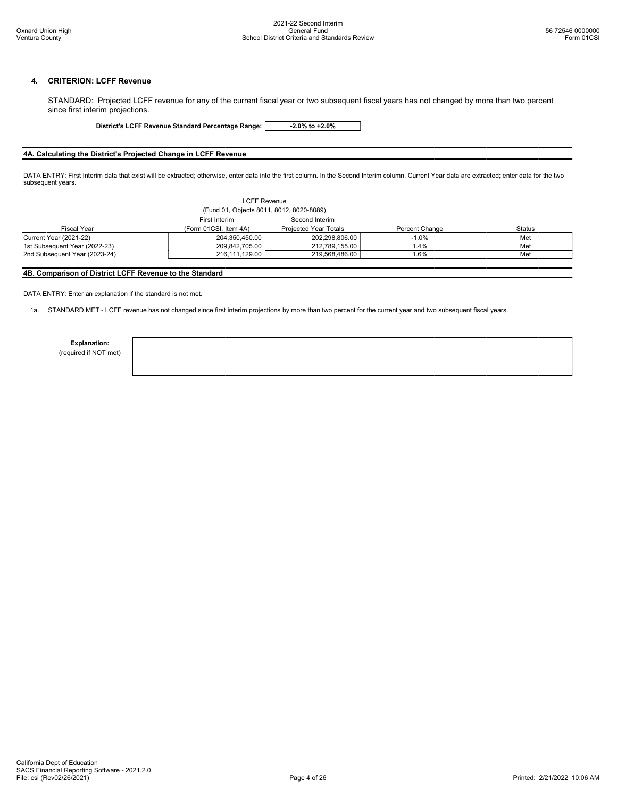### 4. CRITERION: LCFF Revenue

STANDARD: Projected LCFF revenue for any of the current fiscal year or two subsequent fiscal years has not changed by more than two percent since first interim projections.

District's LCFF Revenue Standard Percentage Range: -2.0% to +2.0%

### 4A. Calculating the District's Projected Change in LCFF Revenue

DATA ENTRY: First Interim data that exist will be extracted; otherwise, enter data into the first column. In the Second Interim column, Current Year data are extracted; enter data for the two subsequent years.

| <b>LCFF Revenue</b>                      |                                 |                       |                |               |  |  |
|------------------------------------------|---------------------------------|-----------------------|----------------|---------------|--|--|
| (Fund 01, Objects 8011, 8012, 8020-8089) |                                 |                       |                |               |  |  |
|                                          | Second Interim<br>First Interim |                       |                |               |  |  |
| <b>Fiscal Year</b>                       | (Form 01CSI, Item 4A)           | Projected Year Totals | Percent Change | <b>Status</b> |  |  |
| Current Year (2021-22)                   | 204,350,450.00                  | 202.298.806.00        | $-1.0%$        | Met           |  |  |
| 1st Subsequent Year (2022-23)            | 209,842,705.00                  | 212,789,155.00        | 1.4%           | Met           |  |  |
| 2nd Subsequent Year (2023-24)            | 216,111,129.00                  | 219.568.486.00        | '.6%           | Met           |  |  |
|                                          |                                 |                       |                |               |  |  |

### 4B. Comparison of District LCFF Revenue to the Standard

DATA ENTRY: Enter an explanation if the standard is not met.

1a. STANDARD MET - LCFF revenue has not changed since first interim projections by more than two percent for the current year and two subsequent fiscal years.

Explanation:

(required if NOT met)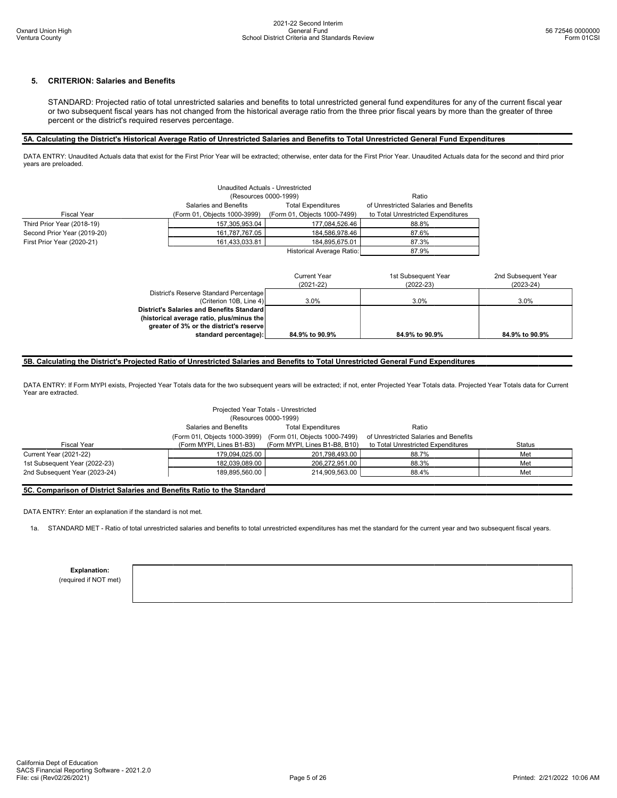## 5. CRITERION: Salaries and Benefits

STANDARD: Projected ratio of total unrestricted salaries and benefits to total unrestricted general fund expenditures for any of the current fiscal year or two subsequent fiscal years has not changed from the historical average ratio from the three prior fiscal years by more than the greater of three percent or the district's required reserves percentage.

### 5A. Calculating the District's Historical Average Ratio of Unrestricted Salaries and Benefits to Total Unrestricted General Fund Expenditures

DATA ENTRY: Unaudited Actuals data that exist for the First Prior Year will be extracted; otherwise, enter data for the First Prior Year. Unaudited Actuals data for the second and third prior years are preloaded.

| Unaudited Actuals - Unrestricted<br>(Resources 0000-1999)<br>Ratio |                                                    |                              |                                    |  |  |  |
|--------------------------------------------------------------------|----------------------------------------------------|------------------------------|------------------------------------|--|--|--|
|                                                                    | Salaries and Benefits<br><b>Total Expenditures</b> |                              |                                    |  |  |  |
| Fiscal Year                                                        | (Form 01, Objects 1000-3999)                       | (Form 01, Objects 1000-7499) | to Total Unrestricted Expenditures |  |  |  |
| Third Prior Year (2018-19)                                         | 157,305,953.04                                     | 177,084,526.46               | 88.8%                              |  |  |  |
| Second Prior Year (2019-20)                                        | 161,787,767.05                                     | 184,586,978.46               | 87.6%                              |  |  |  |
| First Prior Year (2020-21)                                         | 161,433,033.81                                     | 184,895,675.01               | 87.3%                              |  |  |  |
|                                                                    | Historical Average Ratio:<br>87.9%                 |                              |                                    |  |  |  |

|                                           | Current Year<br>$(2021 - 22)$ | 1st Subsequent Year<br>$(2022 - 23)$ | 2nd Subsequent Year<br>$(2023 - 24)$ |
|-------------------------------------------|-------------------------------|--------------------------------------|--------------------------------------|
| District's Reserve Standard Percentage    |                               |                                      |                                      |
| (Criterion 10B, Line 4)                   | 3.0%                          | 3.0%                                 | 3.0%                                 |
| District's Salaries and Benefits Standard |                               |                                      |                                      |
| (historical average ratio, plus/minus the |                               |                                      |                                      |
| greater of 3% or the district's reserve   |                               |                                      |                                      |
| standard percentage):                     | 84.9% to 90.9%                | 84.9% to 90.9%                       | 84.9% to 90.9%                       |

### 5B. Calculating the District's Projected Ratio of Unrestricted Salaries and Benefits to Total Unrestricted General Fund Expenditures

DATA ENTRY: If Form MYPI exists, Projected Year Totals data for the two subsequent years will be extracted; if not, enter Projected Year Totals data. Projected Year Totals data for Current Year are extracted.

| Projected Year Totals - Unrestricted |                               |                               |                                       |               |  |  |
|--------------------------------------|-------------------------------|-------------------------------|---------------------------------------|---------------|--|--|
|                                      | (Resources 0000-1999)         |                               |                                       |               |  |  |
|                                      | Salaries and Benefits         | <b>Total Expenditures</b>     | Ratio                                 |               |  |  |
|                                      | (Form 01I, Objects 1000-3999) | (Form 01I, Objects 1000-7499) | of Unrestricted Salaries and Benefits |               |  |  |
| <b>Fiscal Year</b>                   | (Form MYPI, Lines B1-B3)      | (Form MYPI, Lines B1-B8, B10) | to Total Unrestricted Expenditures    | <b>Status</b> |  |  |
| Current Year (2021-22)               | 179,094,025.00                | 201,798,493.00                | 88.7%                                 | Met           |  |  |
| 1st Subsequent Year (2022-23)        | 182,039,089.00                | 206.272.951.00                | 88.3%                                 | Met           |  |  |
| 2nd Subsequent Year (2023-24)        | 189,895,560.00                | 214,909,563.00                | 88.4%                                 | Met           |  |  |
|                                      |                               |                               |                                       |               |  |  |

### 5C. Comparison of District Salaries and Benefits Ratio to the Standard

DATA ENTRY: Enter an explanation if the standard is not met.

1a. STANDARD MET - Ratio of total unrestricted salaries and benefits to total unrestricted expenditures has met the standard for the current year and two subsequent fiscal years.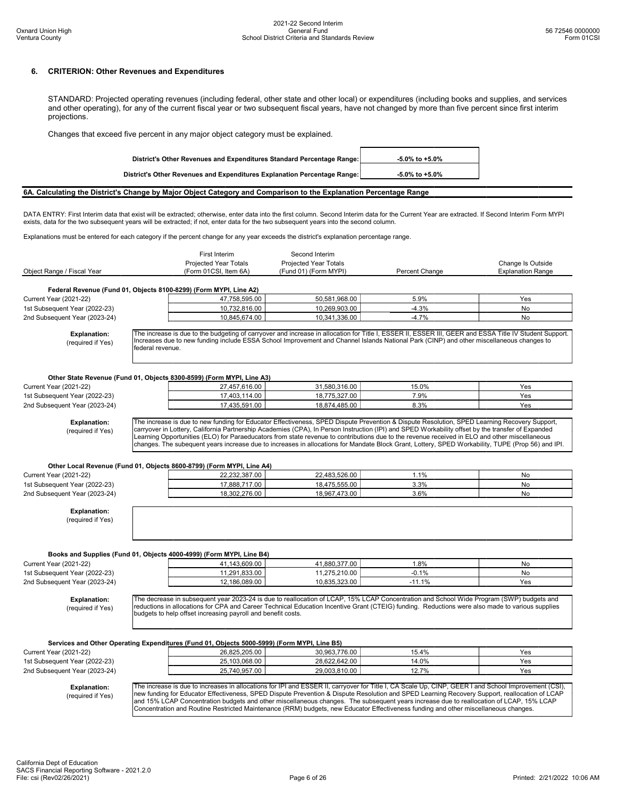### 6. CRITERION: Other Revenues and Expenditures

STANDARD: Projected operating revenues (including federal, other state and other local) or expenditures (including books and supplies, and services and other operating), for any of the current fiscal year or two subsequent fiscal years, have not changed by more than five percent since first interim projections.

Changes that exceed five percent in any major object category must be explained.

| District's Other Revenues and Expenditures Standard Percentage Range:    | $-5.0\%$ to $+5.0\%$ |
|--------------------------------------------------------------------------|----------------------|
| District's Other Revenues and Expenditures Explanation Percentage Range: | $-5.0\%$ to $+5.0\%$ |

6A. Calculating the District's Change by Major Object Category and Comparison to the Explanation Percentage Range

DATA ENTRY: First Interim data that exist will be extracted; otherwise, enter data into the first column. Second Interim data for the Current Year are extracted. If Second Interim Form MYPI exists, data for the two subsequent years will be extracted; if not, enter data for the two subsequent years into the second column.

Explanations must be entered for each category if the percent change for any year exceeds the district's explanation percentage range.

|                                                                | First Interim                                                                                                                                                                                                                                                                                                                                                                                                                   | Second Interim                 |                 |                          |
|----------------------------------------------------------------|---------------------------------------------------------------------------------------------------------------------------------------------------------------------------------------------------------------------------------------------------------------------------------------------------------------------------------------------------------------------------------------------------------------------------------|--------------------------------|-----------------|--------------------------|
|                                                                | Projected Year Totals                                                                                                                                                                                                                                                                                                                                                                                                           | Projected Year Totals          |                 | Change Is Outside        |
| Object Range / Fiscal Year                                     | (Form 01CSI, Item 6A)                                                                                                                                                                                                                                                                                                                                                                                                           | (Fund 01) (Form MYPI)          | Percent Change  | <b>Explanation Range</b> |
|                                                                |                                                                                                                                                                                                                                                                                                                                                                                                                                 |                                |                 |                          |
|                                                                | Federal Revenue (Fund 01, Objects 8100-8299) (Form MYPI, Line A2)                                                                                                                                                                                                                                                                                                                                                               |                                |                 |                          |
| <b>Current Year (2021-22)</b>                                  | 47,758,595.00                                                                                                                                                                                                                                                                                                                                                                                                                   | 50,581,968.00                  | 5.9%            | Yes                      |
| 1st Subsequent Year (2022-23)                                  | 10,732,816.00                                                                                                                                                                                                                                                                                                                                                                                                                   | 10,269,903.00                  | $-4.3%$         | No                       |
| 2nd Subsequent Year (2023-24)                                  | 10,845,674.00                                                                                                                                                                                                                                                                                                                                                                                                                   | 10,341,336.00                  | $-4.7%$         | <b>No</b>                |
| <b>Explanation:</b><br>(required if Yes)                       | The increase is due to the budgeting of carryover and increase in allocation for Title I, ESSER II, ESSER III, GEER and ESSA Title IV Student Support.<br>Increases due to new funding include ESSA School Improvement and Channel Islands National Park (CINP) and other miscellaneous changes to<br>federal revenue.                                                                                                          |                                |                 |                          |
|                                                                | Other State Revenue (Fund 01, Objects 8300-8599) (Form MYPI, Line A3)                                                                                                                                                                                                                                                                                                                                                           |                                |                 |                          |
| Current Year (2021-22)                                         | 27,457,616.00                                                                                                                                                                                                                                                                                                                                                                                                                   | 31,580,316.00                  | 15.0%           | Yes                      |
| 1st Subsequent Year (2022-23)                                  | 17,403,114.00                                                                                                                                                                                                                                                                                                                                                                                                                   | 18,775,327.00                  | 7.9%            | Yes                      |
| 2nd Subsequent Year (2023-24)                                  | 17,435,591.00                                                                                                                                                                                                                                                                                                                                                                                                                   | 18,874,485.00                  | 8.3%            | Yes                      |
|                                                                |                                                                                                                                                                                                                                                                                                                                                                                                                                 |                                |                 |                          |
|                                                                | changes. The subequent years increase due to increases in allocations for Mandate Block Grant, Lottery, SPED Workability, TUPE (Prop 56) and IPI.<br>Other Local Revenue (Fund 01, Objects 8600-8799) (Form MYPI, Line A4)                                                                                                                                                                                                      |                                |                 |                          |
| <b>Current Year (2021-22)</b>                                  | 22,232,387.00                                                                                                                                                                                                                                                                                                                                                                                                                   | 22,483,526.00                  | 1.1%            | No                       |
| 1st Subsequent Year (2022-23)                                  | 17,888,717.00                                                                                                                                                                                                                                                                                                                                                                                                                   | 18,475,555.00                  | 3.3%            | <b>No</b>                |
| 2nd Subsequent Year (2023-24)                                  | 18,302,276.00                                                                                                                                                                                                                                                                                                                                                                                                                   | 18,967,473.00                  | 3.6%            | No                       |
| <b>Explanation:</b><br>(required if Yes)                       |                                                                                                                                                                                                                                                                                                                                                                                                                                 |                                |                 |                          |
| <b>Current Year (2021-22)</b><br>1st Subsequent Year (2022-23) | Books and Supplies (Fund 01, Objects 4000-4999) (Form MYPI, Line B4)<br>41,143,609.00<br>11,291,833.00                                                                                                                                                                                                                                                                                                                          | 41,880,377.00<br>11,275,210.00 | 1.8%<br>$-0.1%$ | No<br>No                 |
| 2nd Subsequent Year (2023-24)                                  | 12,186,089.00                                                                                                                                                                                                                                                                                                                                                                                                                   | 10,835,323.00                  | $-11.1%$        | Yes                      |
| <b>Explanation:</b><br>(required if Yes)                       | The decrease in subsequent year 2023-24 is due to reallocation of LCAP, 15% LCAP Concentration and School Wide Program (SWP) budgets and<br>reductions in allocations for CPA and Career Technical Education Incentive Grant (CTEIG) funding. Reductions were also made to various supplies<br>budgets to help offset increasing payroll and benefit costs.                                                                     |                                |                 |                          |
|                                                                | Services and Other Operating Expenditures (Fund 01, Objects 5000-5999) (Form MYPI, Line B5)                                                                                                                                                                                                                                                                                                                                     |                                |                 |                          |
| <b>Current Year (2021-22)</b>                                  | 26,825,205.00                                                                                                                                                                                                                                                                                                                                                                                                                   | 30,963,776.00                  | 15.4%           | Yes                      |
| 1st Subsequent Year (2022-23)                                  | 25,103,068.00                                                                                                                                                                                                                                                                                                                                                                                                                   | 28,622,642.00                  | 14.0%           | Yes                      |
| 2nd Subsequent Year (2023-24)                                  | 25,740,957.00                                                                                                                                                                                                                                                                                                                                                                                                                   | 29,003,810.00                  | 12.7%           | Yes                      |
|                                                                | The increase is due to increases in allocations for IPI and ESSER II, carryover for Title I, CA Scale Up, CINP, GEER I and School Improvement (CSI),                                                                                                                                                                                                                                                                            |                                |                 |                          |
| <b>Explanation:</b><br>(required if Yes)                       | new funding for Educator Effectiveness, SPED Dispute Prevention & Dispute Resolution and SPED Learning Recovery Support, reallocation of LCAP<br>and 15% LCAP Concentration budgets and other miscellaneous changes. The subsequent years increase due to reallocation of LCAP, 15% LCAP<br>Concentration and Routine Restricted Maintenance (RRM) budgets, new Educator Effectiveness funding and other miscellaneous changes. |                                |                 |                          |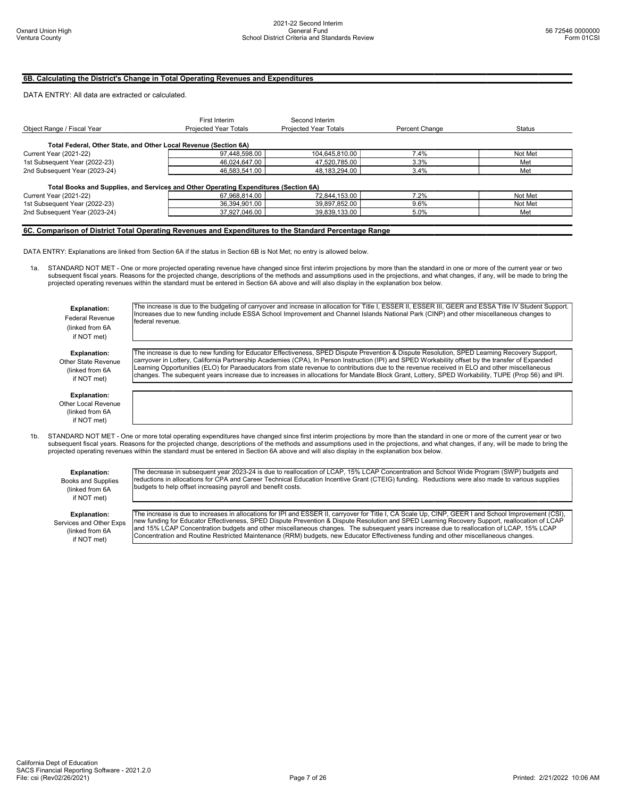### 6B. Calculating the District's Change in Total Operating Revenues and Expenditures

### DATA ENTRY: All data are extracted or calculated.

| Object Range / Fiscal Year                                                           | First Interim<br>Projected Year Totals | Second Interim<br>Projected Year Totals | Percent Change | <b>Status</b> |
|--------------------------------------------------------------------------------------|----------------------------------------|-----------------------------------------|----------------|---------------|
| Total Federal, Other State, and Other Local Revenue (Section 6A)                     |                                        |                                         |                |               |
| <b>Current Year (2021-22)</b>                                                        | 97,448,598.00                          | 104,645,810.00                          | 7.4%           | Not Met       |
| 1st Subsequent Year (2022-23)                                                        | 46,024,647.00                          | 47,520,785.00                           | 3.3%           | Met           |
| 2nd Subsequent Year (2023-24)                                                        | 46,583,541.00                          | 48,183,294.00                           | 3.4%           | Met           |
| Total Books and Supplies, and Services and Other Operating Expenditures (Section 6A) |                                        |                                         |                |               |
| <b>Current Year (2021-22)</b>                                                        | 67,968,814.00                          | 72,844,153.00                           | 7.2%           | Not Met       |
| 1st Subsequent Year (2022-23)                                                        | 36,394,901.00                          | 39,897,852.00                           | 9.6%           | Not Met       |
| 2nd Subsequent Year (2023-24)                                                        | 37,927,046.00                          | 39,839,133.00                           | 5.0%           | Met           |
|                                                                                      |                                        |                                         |                |               |

### 6C. Comparison of District Total Operating Revenues and Expenditures to the Standard Percentage Range

DATA ENTRY: Explanations are linked from Section 6A if the status in Section 6B is Not Met; no entry is allowed below.

federal revenue.

STANDARD NOT MET - One or more projected operating revenue have changed since first interim projections by more than the standard in one or more of the current year or two subsequent fiscal years. Reasons for the projected change, descriptions of the methods and assumptions used in the projections, and what changes, if any, will be made to bring the<br>projected operating revenues within the st

Explanation: Federal Revenue (linked from 6A if NOT met)

Explanation: Other State Revenue (linked from 6A if NOT met)

The increase is due to new funding for Educator Effectiveness, SPED Dispute Prevention & Dispute Resolution, SPED Learning Recovery Support, carryover in Lottery, California Partnership Academies (CPA), In Person Instruction (IPI) and SPED Workability offset by the transfer of Expanded<br>Learning Opportunities (ELO) for Paraeducators from state revenue to contrib changes. The subequent years increase due to increases in allocations for Mandate Block Grant, Lottery, SPED Workability, TUPE (Prop 56) and IPI.

The increase is due to the budgeting of carryover and increase in allocation for Title I, ESSER II, ESSER III, GEER and ESSA Title IV Student Support. Increases due to new funding include ESSA School Improvement and Channel Islands National Park (CINP) and other miscellaneous changes to

- Explanation: Other Local Revenue (linked from 6A if NOT met)
- 1b. STANDARD NOT MET One or more total operating expenditures have changed since first interim projections by more than the standard in one or more of the current year or two subsequent fiscal years. Reasons for the projected change, descriptions of the methods and assumptions used in the projections, and what changes, if any, will be made to bring the projected operating revenues within the standard must be entered in Section 6A above and will also display in the explanation box below.

### Explanation:

Books and Supplies (linked from 6A if NOT met)

Explanation: Services and Other Exps (linked from 6A if NOT met)

The decrease in subsequent year 2023-24 is due to reallocation of LCAP, 15% LCAP Concentration and School Wide Program (SWP) budgets and<br>reductions in allocations for CPA and Career Technical Education Incentive Grant (CTE budgets to help offset increasing payroll and benefit costs.

The increase is due to increases in allocations for IPI and ESSER II, carryover for Title I, CA Scale Up, CINP, GEER I and School Improvement (CSI), new funding for Educator Effectiveness, SPED Dispute Prevention & Dispute Resolution and SPED Learning Recovery Support, reallocation of LCAP<br>and 15% LCAP Concentration budgets and other miscellaneous changes. The subsequ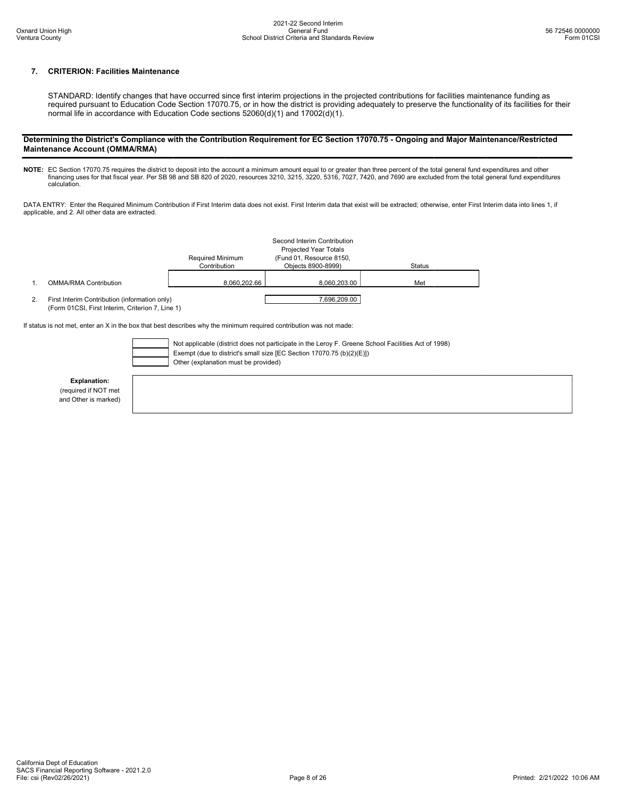## 7. CRITERION: Facilities Maintenance

STANDARD: Identify changes that have occurred since first interim projections in the projected contributions for facilities maintenance funding as required pursuant to Education Code Section 17070.75, or in how the district is providing adequately to preserve the functionality of its facilities for their normal life in accordance with Education Code sections 52060(d)(1) and 17002(d)(1).

### Determining the District's Compliance with the Contribution Requirement for EC Section 17070.75 - Ongoing and Major Maintenance/Restricted Maintenance Account (OMMA/RMA)

**NOTE:** EC Section 17070.75 requires the district to deposit into the account a minimum amount equal to or greater than three percent of the total general fund expenditures and other<br>financing uses for that fiscal year. Pe

DATA ENTRY: Enter the Required Minimum Contribution if First Interim data does not exist. First Interim data that exist will be extracted; otherwise, enter First Interim data into lines 1, if applicable, and 2. All other data are extracted.

|    |                                                                                                                                                                                                                      | <b>Required Minimum</b><br>Contribution | Second Interim Contribution<br><b>Projected Year Totals</b><br>(Fund 01, Resource 8150,<br>Objects 8900-8999) | <b>Status</b> |  |  |
|----|----------------------------------------------------------------------------------------------------------------------------------------------------------------------------------------------------------------------|-----------------------------------------|---------------------------------------------------------------------------------------------------------------|---------------|--|--|
|    | <b>OMMA/RMA Contribution</b>                                                                                                                                                                                         | 8.060.202.66                            | 8.060.203.00                                                                                                  | Met           |  |  |
| 2. | 7.696.209.00<br>First Interim Contribution (information only)<br>(Form 01CSI, First Interim, Criterion 7, Line 1)                                                                                                    |                                         |                                                                                                               |               |  |  |
|    | If status is not met, enter an X in the box that best describes why the minimum required contribution was not made:                                                                                                  |                                         |                                                                                                               |               |  |  |
|    | Not applicable (district does not participate in the Leroy F. Greene School Facilities Act of 1998)<br>Exempt (due to district's small size [EC Section 17070.75 (b)(2)(E)])<br>Other (explanation must be provided) |                                         |                                                                                                               |               |  |  |

Explanation:

(required if NOT met and Other is marked)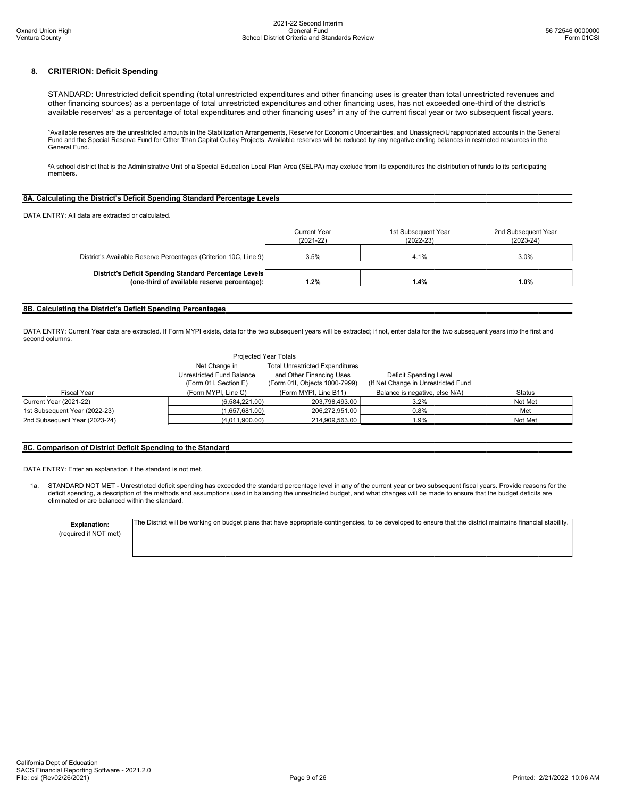### 8. CRITERION: Deficit Spending

STANDARD: Unrestricted deficit spending (total unrestricted expenditures and other financing uses is greater than total unrestricted revenues and other financing sources) as a percentage of total unrestricted expenditures and other financing uses, has not exceeded one-third of the district's available reserves<sup>1</sup> as a percentage of total expenditures and other financing uses<sup>2</sup> in any of the current fiscal year or two subsequent fiscal years.

1Available reserves are the unrestricted amounts in the Stabilization Arrangements, Reserve for Economic Uncertainties, and Unassigned/Unappropriated accounts in the General Fund and the Special Reserve Fund for Other Than Capital Outlay Projects. Available reserves will be reduced by any negative ending balances in restricted resources in the General Fund.

²A school district that is the Administrative Unit of a Special Education Local Plan Area (SELPA) may exclude from its expenditures the distribution of funds to its participating members.

### 8A. Calculating the District's Deficit Spending Standard Percentage Levels

DATA ENTRY: All data are extracted or calculated.

|                                                                                                        | <b>Current Year</b><br>$(2021 - 22)$ | 1st Subsequent Year<br>$(2022-23)$ | 2nd Subsequent Year<br>$(2023-24)$ |
|--------------------------------------------------------------------------------------------------------|--------------------------------------|------------------------------------|------------------------------------|
| District's Available Reserve Percentages (Criterion 10C, Line 9)                                       | 3.5%                                 | 4.1%                               | 3.0%                               |
| District's Deficit Spending Standard Percentage Levels<br>(one-third of available reserve percentage): | 1.2%                                 | 1.4%                               | 1.0%                               |

### 8B. Calculating the District's Deficit Spending Percentages

DATA ENTRY: Current Year data are extracted. If Form MYPI exists, data for the two subsequent years will be extracted; if not, enter data for the two subsequent years into the first and second columns.

|                               | Projected Year Totals                              |                                                           |                                                               |               |
|-------------------------------|----------------------------------------------------|-----------------------------------------------------------|---------------------------------------------------------------|---------------|
|                               | Net Change in                                      | <b>Total Unrestricted Expenditures</b>                    |                                                               |               |
|                               | Unrestricted Fund Balance<br>(Form 01I, Section E) | and Other Financing Uses<br>(Form 01I, Objects 1000-7999) | Deficit Spending Level<br>(If Net Change in Unrestricted Fund |               |
| <b>Fiscal Year</b>            | (Form MYPI, Line C)                                | (Form MYPI, Line B11)                                     | Balance is negative, else N/A)                                | <b>Status</b> |
| Current Year (2021-22)        | (6,584,221.00)                                     | 203.798.493.00                                            | 3.2%                                                          | Not Met       |
| 1st Subsequent Year (2022-23) | (1,657,681.00)                                     | 206.272.951.00                                            | 0.8%                                                          | Met           |
| 2nd Subsequent Year (2023-24) | (4,011,900.00)                                     | 214,909,563.00                                            | 1.9%                                                          | Not Met       |

### 8C. Comparison of District Deficit Spending to the Standard

DATA ENTRY: Enter an explanation if the standard is not met.

1a. STANDARD NOT MET - Unrestricted deficit spending has exceeded the standard percentage level in any of the current year or two subsequent fiscal years. Provide reasons for the deficit spending, a description of the methods and assumptions used in balancing the unrestricted budget, and what changes will be made to ensure that the budget deficits are eliminated or are balanced within the standard.

Explanation:

The District will be working on budget plans that have appropriate contingencies, to be developed to ensure that the district maintains financial stability.

(required if NOT met)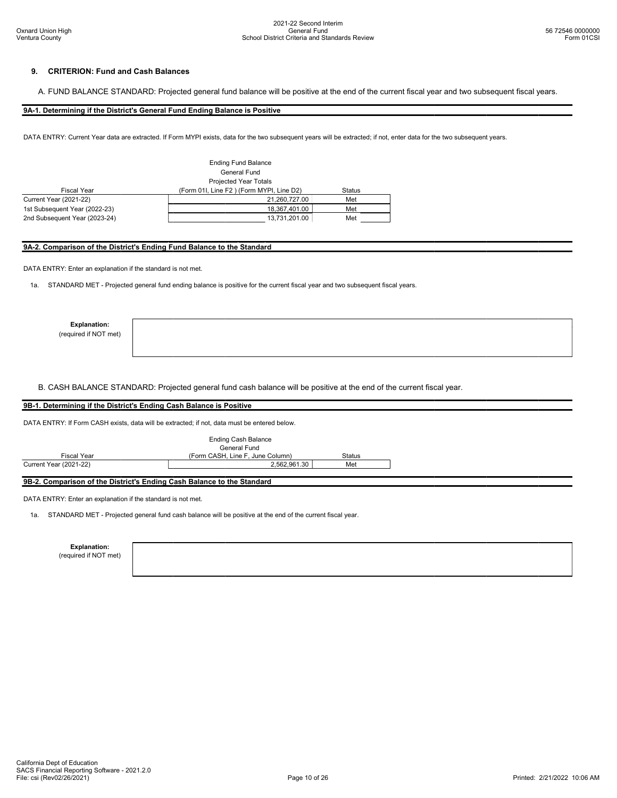### 9. CRITERION: Fund and Cash Balances

A. FUND BALANCE STANDARD: Projected general fund balance will be positive at the end of the current fiscal year and two subsequent fiscal years.

9A-1. Determining if the District's General Fund Ending Balance is Positive

DATA ENTRY: Current Year data are extracted. If Form MYPI exists, data for the two subsequent years will be extracted; if not, enter data for the two subsequent years.

|                               | <b>Ending Fund Balance</b>               |        |  |  |
|-------------------------------|------------------------------------------|--------|--|--|
|                               | General Fund                             |        |  |  |
|                               | <b>Projected Year Totals</b>             |        |  |  |
| <b>Fiscal Year</b>            | (Form 01I, Line F2) (Form MYPI, Line D2) | Status |  |  |
| <b>Current Year (2021-22)</b> | 21.260.727.00                            | Met    |  |  |
| 1st Subsequent Year (2022-23) | 18,367,401.00                            | Met    |  |  |
| 2nd Subsequent Year (2023-24) | 13,731,201.00                            | Met    |  |  |

### 9A-2. Comparison of the District's Ending Fund Balance to the Standard

DATA ENTRY: Enter an explanation if the standard is not met.

1a. STANDARD MET - Projected general fund ending balance is positive for the current fiscal year and two subsequent fiscal years.

Explanation:

(required if NOT met)

B. CASH BALANCE STANDARD: Projected general fund cash balance will be positive at the end of the current fiscal year.

## 9B-1. Determining if the District's Ending Cash Balance is Positive

DATA ENTRY: If Form CASH exists, data will be extracted; if not, data must be entered below.

|                                                                        | Ending Cash Balance<br>General Fund |        |
|------------------------------------------------------------------------|-------------------------------------|--------|
| Fiscal Year                                                            | (Form CASH, Line F, June Column)    | Status |
| Current Year (2021-22)                                                 | 2,562,961.30                        | Met    |
| 9B-2. Comparison of the District's Ending Cash Balance to the Standard |                                     |        |

DATA ENTRY: Enter an explanation if the standard is not met.

1a. STANDARD MET - Projected general fund cash balance will be positive at the end of the current fiscal year.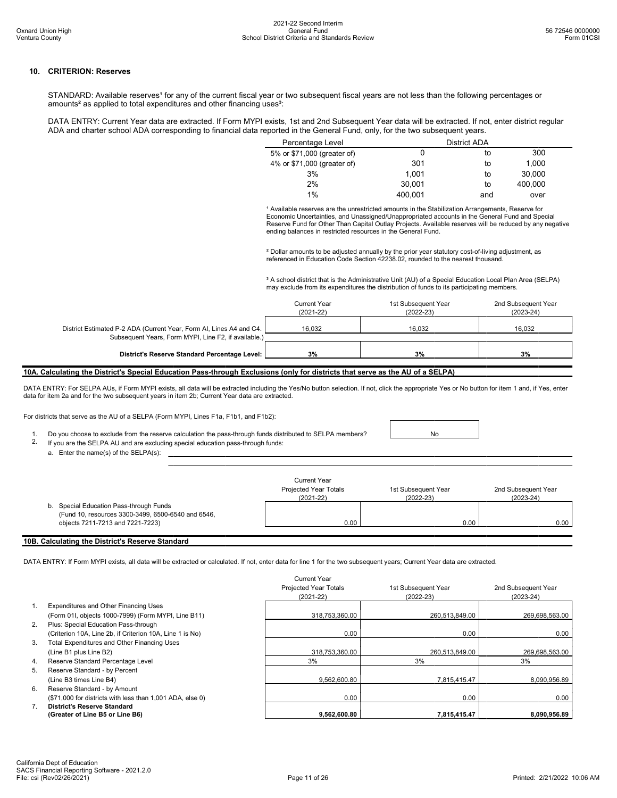### 10. CRITERION: Reserves

STANDARD: Available reserves<sup>1</sup> for any of the current fiscal year or two subsequent fiscal years are not less than the following percentages or amounts<sup>2</sup> as applied to total expenditures and other financing uses<sup>3</sup>:

DATA ENTRY: Current Year data are extracted. If Form MYPI exists, 1st and 2nd Subsequent Year data will be extracted. If not, enter district regular ADA and charter school ADA corresponding to financial data reported in the General Fund, only, for the two subsequent years.

| Percentage Level            |         | District ADA |         |  |
|-----------------------------|---------|--------------|---------|--|
| 5% or \$71,000 (greater of) |         | to           | 300     |  |
| 4% or \$71,000 (greater of) | 301     | to           | 1,000   |  |
| 3%                          | 1.001   | to           | 30.000  |  |
| 2%                          | 30.001  | to           | 400.000 |  |
| 1%                          | 400.001 | and          | over    |  |

<sup>1</sup> Available reserves are the unrestricted amounts in the Stabilization Arrangements, Reserve for Economic Uncertainties, and Unassigned/Unappropriated accounts in the General Fund and Special Reserve Fund for Other Than Capital Outlay Projects. Available reserves will be reduced by any negative ending balances in restricted resources in the General Fund.

² Dollar amounts to be adjusted annually by the prior year statutory cost-of-living adjustment, as referenced in Education Code Section 42238.02, rounded to the nearest thousand.

<sup>3</sup> A school district that is the Administrative Unit (AU) of a Special Education Local Plan Area (SELPA) may exclude from its expenditures the distribution of funds to its participating members.

|                                                                                                                             | <b>Current Year</b><br>$(2021 - 22)$ | 1st Subsequent Year<br>$(2022-23)$ | 2nd Subsequent Year<br>$(2023-24)$ |
|-----------------------------------------------------------------------------------------------------------------------------|--------------------------------------|------------------------------------|------------------------------------|
| District Estimated P-2 ADA (Current Year, Form AI, Lines A4 and C4.<br>Subsequent Years, Form MYPI, Line F2, if available.) | 16.032                               | 16.032                             | 16.032                             |
| District's Reserve Standard Percentage Level:                                                                               | 3%                                   | 3%                                 | 3%                                 |

### 10A. Calculating the District's Special Education Pass-through Exclusions (only for districts that serve as the AU of a SELPA)

DATA ENTRY: For SELPA AUs, if Form MYPI exists, all data will be extracted including the Yes/No button selection. If not, click the appropriate Yes or No button for item 1 and, if Yes, enter data for item 2a and for the two subsequent years in item 2b; Current Year data are extracted.

For districts that serve as the AU of a SELPA (Form MYPI, Lines F1a, F1b1, and F1b2):

1. Do you choose to exclude from the reserve calculation the pass-through funds distributed to SELPA members?<br>2. If you are the SELPA ALLand are excluding special education pass-through funds:

- If you are the SELPA AU and are excluding special education pass-through funds:
	- a. Enter the name(s) of the SELPA(s):

|                                                                                                                                      | Current Year<br>Projected Year Totals<br>$(2021 - 22)$ | 1st Subsequent Year<br>$(2022 - 23)$ | 2nd Subsequent Year<br>$(2023 - 24)$ |
|--------------------------------------------------------------------------------------------------------------------------------------|--------------------------------------------------------|--------------------------------------|--------------------------------------|
| Special Education Pass-through Funds<br>b.<br>(Fund 10, resources 3300-3499, 6500-6540 and 6546,<br>objects 7211-7213 and 7221-7223) | 0.00                                                   | 0.00                                 | 0.00                                 |

### 10B. Calculating the District's Reserve Standard

DATA ENTRY: If Form MYPI exists, all data will be extracted or calculated. If not, enter data for line 1 for the two subsequent years; Current Year data are extracted.

|                |                                                           | Current Year<br><b>Projected Year Totals</b><br>$(2021 - 22)$ | 1st Subsequent Year<br>$(2022 - 23)$ | 2nd Subsequent Year<br>$(2023-24)$ |
|----------------|-----------------------------------------------------------|---------------------------------------------------------------|--------------------------------------|------------------------------------|
| $1_{-}$        | <b>Expenditures and Other Financing Uses</b>              |                                                               |                                      |                                    |
|                | (Form 01I, objects 1000-7999) (Form MYPI, Line B11)       | 318,753,360.00                                                | 260,513,849.00                       | 269,698,563.00                     |
| 2.             | Plus: Special Education Pass-through                      |                                                               |                                      |                                    |
|                | (Criterion 10A, Line 2b, if Criterion 10A, Line 1 is No)  | 0.00                                                          | 0.00                                 | 0.00                               |
| 3.             | Total Expenditures and Other Financing Uses               |                                                               |                                      |                                    |
|                | (Line B1 plus Line B2)                                    | 318,753,360.00                                                | 260,513,849.00                       | 269,698,563.00                     |
| 4.             | Reserve Standard Percentage Level                         | 3%                                                            | 3%                                   | 3%                                 |
| 5.             | Reserve Standard - by Percent                             |                                                               |                                      |                                    |
|                | (Line B3 times Line B4)                                   | 9.562.600.80                                                  | 7.815.415.47                         | 8,090,956.89                       |
| 6.             | Reserve Standard - by Amount                              |                                                               |                                      |                                    |
|                | (\$71,000 for districts with less than 1,001 ADA, else 0) | 0.00                                                          | 0.00                                 | 0.00                               |
| 7 <sub>1</sub> | <b>District's Reserve Standard</b>                        |                                                               |                                      |                                    |
|                | (Greater of Line B5 or Line B6)                           | 9.562.600.80                                                  | 7.815.415.47                         | 8,090,956.89                       |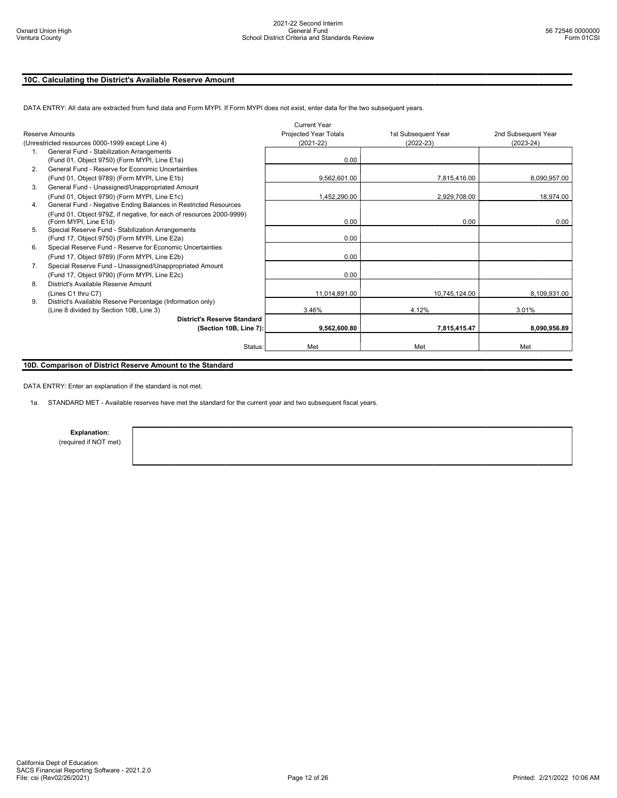# 10C. Calculating the District's Available Reserve Amount

|                |                                                                      | <b>Current Year</b>   |                     |                     |
|----------------|----------------------------------------------------------------------|-----------------------|---------------------|---------------------|
|                | Reserve Amounts                                                      | Projected Year Totals | 1st Subsequent Year | 2nd Subsequent Year |
|                | (Unrestricted resources 0000-1999 except Line 4)                     | $(2021 - 22)$         | $(2022 - 23)$       | $(2023 - 24)$       |
| 1 <sup>1</sup> | General Fund - Stabilization Arrangements                            |                       |                     |                     |
|                | (Fund 01, Object 9750) (Form MYPI, Line E1a)                         | 0.00                  |                     |                     |
| 2.             | General Fund - Reserve for Economic Uncertainties                    |                       |                     |                     |
|                | (Fund 01, Object 9789) (Form MYPI, Line E1b)                         | 9,562,601.00          | 7,815,416.00        | 8,090,957.00        |
| 3.             | General Fund - Unassigned/Unappropriated Amount                      |                       |                     |                     |
|                | (Fund 01, Object 9790) (Form MYPI, Line E1c)                         | 1,452,290.00          | 2,929,708.00        | 18,974.00           |
| 4.             | General Fund - Negative Ending Balances in Restricted Resources      |                       |                     |                     |
|                | (Fund 01, Object 979Z, if negative, for each of resources 2000-9999) |                       |                     |                     |
|                | (Form MYPI, Line E1d)                                                | 0.00                  | 0.00                | 0.00                |
| 5 <sub>1</sub> | Special Reserve Fund - Stabilization Arrangements                    |                       |                     |                     |
|                | (Fund 17, Object 9750) (Form MYPI, Line E2a)                         | 0.00                  |                     |                     |
| 6.             | Special Reserve Fund - Reserve for Economic Uncertainties            |                       |                     |                     |
|                | (Fund 17, Object 9789) (Form MYPI, Line E2b)                         | 0.00                  |                     |                     |
| 7 <sub>1</sub> | Special Reserve Fund - Unassigned/Unappropriated Amount              |                       |                     |                     |
|                | (Fund 17, Object 9790) (Form MYPI, Line E2c)                         | 0.00                  |                     |                     |
| 8.             | District's Available Reserve Amount                                  |                       |                     |                     |
|                | (Lines C1 thru C7)                                                   | 11,014,891.00         | 10.745.124.00       | 8,109,931.00        |
| 9.             | District's Available Reserve Percentage (Information only)           |                       |                     |                     |
|                | (Line 8 divided by Section 10B, Line 3)                              | 3.46%                 | 4.12%               | 3.01%               |
|                | <b>District's Reserve Standard</b>                                   |                       |                     |                     |
|                | (Section 10B, Line 7):                                               | 9.562.600.80          | 7,815,415.47        | 8.090.956.89        |
|                |                                                                      |                       |                     |                     |
|                | Status:                                                              | Met                   | Met                 | Met                 |
|                |                                                                      |                       |                     |                     |

DATA ENTRY: All data are extracted from fund data and Form MYPI. If Form MYPI does not exist, enter data for the two subsequent years.

# 10D. Comparison of District Reserve Amount to the Standard

DATA ENTRY: Enter an explanation if the standard is not met.

1a. STANDARD MET - Available reserves have met the standard for the current year and two subsequent fiscal years.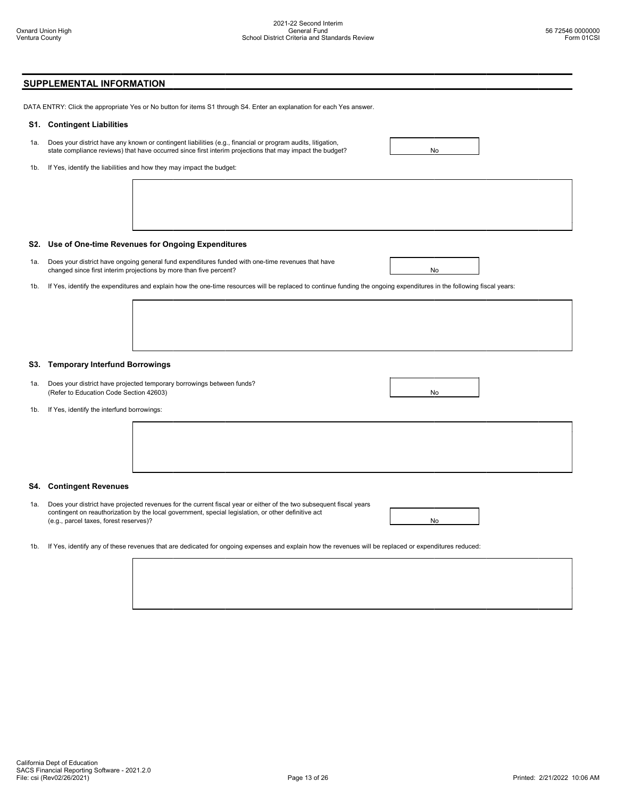# SUPPLEMENTAL INFORMATION

DATA ENTRY: Click the appropriate Yes or No button for items S1 through S4. Enter an explanation for each Yes answer.

### S1. Contingent Liabilities

- 1a. Does your district have any known or contingent liabilities (e.g., financial or program audits, litigation, state compliance reviews) that have occurred since first interim projections that may impact the budget?
- 1b. If Yes, identify the liabilities and how they may impact the budget:



### S2. Use of One-time Revenues for Ongoing Expenditures

- 1a. Does your district have ongoing general fund expenditures funded with one-time revenues that have changed since first interim projections by more than five percent? No wave a state of the state of the state of the state of the state of the state of the state of the state of the state of the state of the state of the st
- 1b. If Yes, identify the expenditures and explain how the one-time resources will be replaced to continue funding the ongoing expenditures in the following fiscal years:

### S3. Temporary Interfund Borrowings

- 1a. Does your district have projected temporary borrowings between funds? (Refer to Education Code Section 42603) No was a section 42603) No was a set of the section 42603 No was a set of the section 42603 No was a set of the section 42603 No was a set of the section 42603 No was a set of the se
- 1b. If Yes, identify the interfund borrowings:



### S4. Contingent Revenues

- 1a. Does your district have projected revenues for the current fiscal year or either of the two subsequent fiscal years contingent on reauthorization by the local government, special legislation, or other definitive act (e.g., parcel taxes, forest reserves)? No
- 1b. If Yes, identify any of these revenues that are dedicated for ongoing expenses and explain how the revenues will be replaced or expenditures reduced: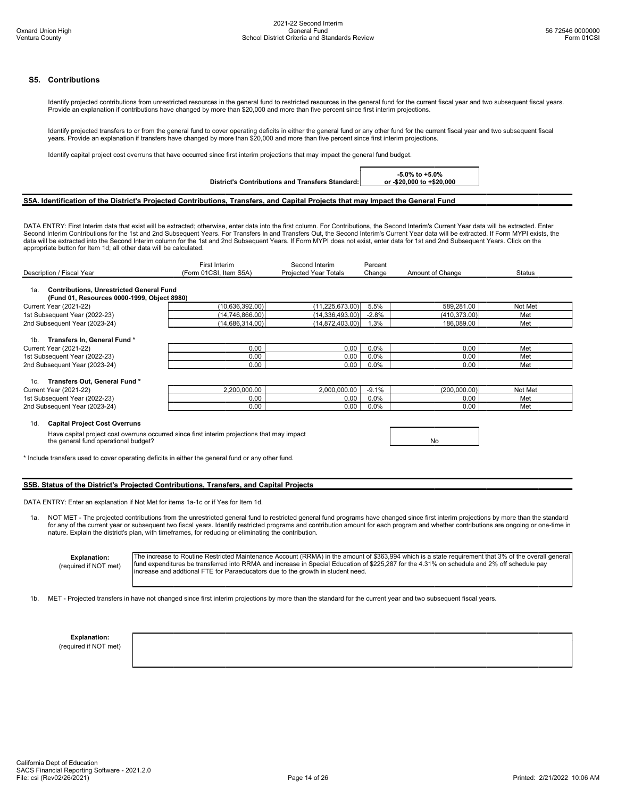### S5. Contributions

Identify projected contributions from unrestricted resources in the general fund to restricted resources in the general fund for the current fiscal year and two subsequent fiscal years. Provide an explanation if contributions have changed by more than \$20,000 and more than five percent since first interim projections.

Identify projected transfers to or from the general fund to cover operating deficits in either the general fund or any other fund for the current fiscal year and two subsequent fiscal years. Provide an explanation if transfers have changed by more than \$20,000 and more than five percent since first interim projections.

Identify capital project cost overruns that have occurred since first interim projections that may impact the general fund budget.

District's Contributions and Transfers Standard:

-5.0% to +5.0% or -\$20,000 to +\$20,000

### S5A. Identification of the District's Projected Contributions, Transfers, and Capital Projects that may Impact the General Fund

DATA ENTRY: First Interim data that exist will be extracted; otherwise, enter data into the first column. For Contributions, the Second Interim's Current Year data will be extracted. Enter Second Interim Contributions for the 1st and 2nd Subsequent Years. For Transfers In and Transfers Out, the Second Interim's Current Year data will be extracted. If Form MYPI exists, the data will be extracted into the Second Interim column for the 1st and 2nd Subsequent Years. If Form MYPI does not exist, enter data for 1st and 2nd Subsequent Years. Click on the appropriate button for Item 1d; all other data will be calculated.

|                                                                                             | First Interim          | Second Interim        | Percent |                  |               |
|---------------------------------------------------------------------------------------------|------------------------|-----------------------|---------|------------------|---------------|
| Description / Fiscal Year                                                                   | (Form 01CSI, Item S5A) | Projected Year Totals | Change  | Amount of Change | <b>Status</b> |
|                                                                                             |                        |                       |         |                  |               |
| <b>Contributions, Unrestricted General Fund</b><br>1a.                                      |                        |                       |         |                  |               |
| (Fund 01, Resources 0000-1999, Object 8980)                                                 |                        |                       |         |                  |               |
| Current Year (2021-22)                                                                      | (10,636,392.00)        | (11, 225, 673.00)     | 5.5%    | 589,281.00       | Not Met       |
| 1st Subsequent Year (2022-23)                                                               | (14,746,866.00)        | (14,336,493.00)       | $-2.8%$ | (410, 373.00)    | Met           |
| 2nd Subsequent Year (2023-24)                                                               | (14,686,314.00)        | (14, 872, 403.00)     | 1.3%    | 186,089.00       | Met           |
|                                                                                             |                        |                       |         |                  |               |
| Transfers In, General Fund*<br>1 <sub>b</sub>                                               |                        |                       |         |                  |               |
| Current Year (2021-22)                                                                      | 0.00                   | 0.00                  | 0.0%    | 0.00             | Met           |
| 1st Subsequent Year (2022-23)                                                               | 0.00                   | 0.00                  | $0.0\%$ | 0.00             | Met           |
| 2nd Subsequent Year (2023-24)                                                               | 0.00                   | 0.00                  | $0.0\%$ | 0.00             | Met           |
|                                                                                             |                        |                       |         |                  |               |
| Transfers Out, General Fund*<br>1c.                                                         |                        |                       |         |                  |               |
| Current Year (2021-22)                                                                      | 2,200,000.00           | 2,000,000.00          | $-9.1%$ | (200,000.00)     | Not Met       |
| 1st Subsequent Year (2022-23)                                                               | 0.00                   | 0.00                  | $0.0\%$ | 0.00             | Met           |
| 2nd Subsequent Year (2023-24)                                                               | 0.00                   | 0.00                  | 0.0%    | 0.00             | Met           |
|                                                                                             |                        |                       |         |                  |               |
| <b>Capital Project Cost Overruns</b><br>1d.                                                 |                        |                       |         |                  |               |
| Have capital project cost overruns occurred since first interim projections that may impact |                        |                       |         |                  |               |
| the general fund operational budget?                                                        |                        |                       |         | No               |               |
|                                                                                             |                        |                       |         |                  |               |

\* Include transfers used to cover operating deficits in either the general fund or any other fund.

## S5B. Status of the District's Projected Contributions, Transfers, and Capital Projects

DATA ENTRY: Enter an explanation if Not Met for items 1a-1c or if Yes for Item 1d.

1a. NOT MET - The projected contributions from the unrestricted general fund to restricted general fund programs have changed since first interim projections by more than the standard for any of the current year or subsequent two fiscal years. Identify restricted programs and contribution amount for each program and whether contributions are ongoing or one-time in nature. Explain the district's plan, with timeframes, for reducing or eliminating the contribution.

Explanation: (required if NOT met) The increase to Routine Restricted Maintenance Account (RRMA) in the amount of \$363,994 which is a state requirement that 3% of the overall general fund expenditures be transferred into RRMA and increase in Special Education of \$225,287 for the 4.31% on schedule and 2% off schedule pay increase and addtional FTE for Paraeducators due to the growth in student need.

1b. MET - Projected transfers in have not changed since first interim projections by more than the standard for the current year and two subsequent fiscal years.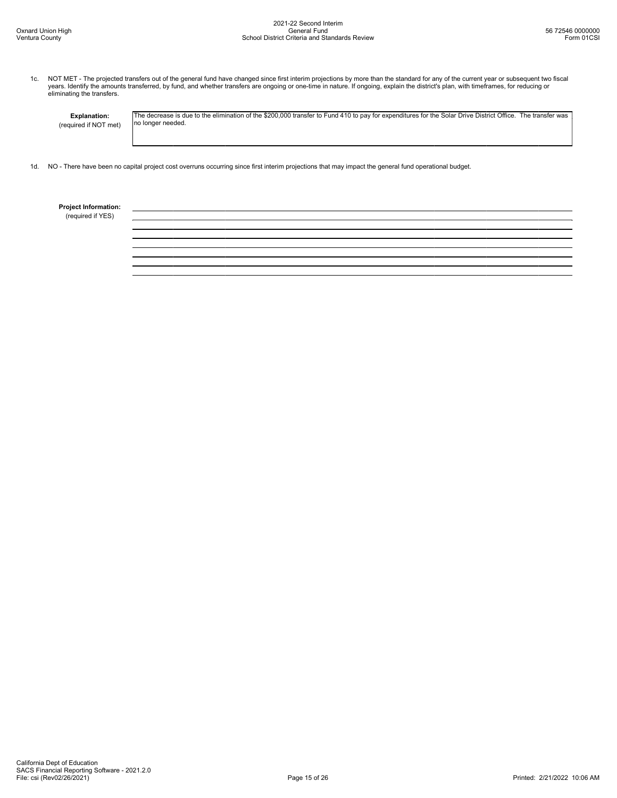1c. NOT MET - The projected transfers out of the general fund have changed since first interim projections by more than the standard for any of the current year or subsequent two fiscal<br>years. Identify the amounts transfer

Explanation: (required if NOT met) The decrease is due to the elimination of the \$200,000 transfer to Fund 410 to pay for expenditures for the Solar Drive District Office. The transfer was no longer needed.

1d. NO - There have been no capital project cost overruns occurring since first interim projections that may impact the general fund operational budget.

Project Information:

(required if YES)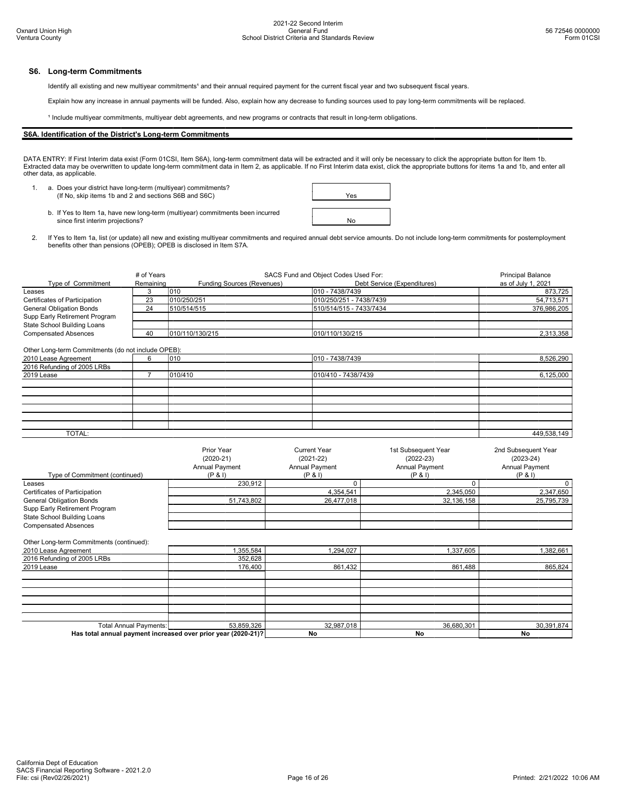### S6. Long-term Commitments

Identify all existing and new multiyear commitments<sup>1</sup> and their annual required payment for the current fiscal year and two subsequent fiscal years.

Explain how any increase in annual payments will be funded. Also, explain how any decrease to funding sources used to pay long-term commitments will be replaced.

<sup>1</sup> Include multiyear commitments, multiyear debt agreements, and new programs or contracts that result in long-term obligations.

## S6A. Identification of the District's Long-term Commitments

DATA ENTRY: If First Interim data exist (Form 01CSI, Item S6A), long-term commitment data will be extracted and it will only be necessary to click the appropriate button for Item 1b. Extracted data may be overwritten to update long-term commitment data in Item 2, as applicable. If no First Interim data exist, click the appropriate buttons for items 1a and 1b, and enter all other data, as applicable.

1. a. Does your district have long-term (multiyear) commitments? (If No, skip items 1b and 2 and sections S6B and S6C)

| Yes |  |
|-----|--|
|     |  |
|     |  |

- b. If Yes to Item 1a, have new long-term (multiyear) commitments been incurred since first interim projections? Note that the contract of the contract of the contract of the contract of the contract of the contract of the contract of the contract of the contract of the contract of the contract of the
- 2. If Yes to Item 1a, list (or update) all new and existing multiyear commitments and required annual debt service amounts. Do not include long-term commitments for postemployment<br>benefits other than pensions (OPEB); OPEB

|                                                    | # of Years | SACS Fund and Object Codes Used For: | <b>Principal Balance</b>    |                    |
|----------------------------------------------------|------------|--------------------------------------|-----------------------------|--------------------|
| Type of Commitment                                 | Remaining  | <b>Funding Sources (Revenues)</b>    | Debt Service (Expenditures) | as of July 1, 2021 |
| Leases                                             |            | 1010                                 | 010 - 7438/7439             | 873,725            |
| Certificates of Participation                      | 23         | 010/250/251                          | 010/250/251 - 7438/7439     | 54,713,571         |
| <b>General Obligation Bonds</b>                    | 24         | 510/514/515                          | 510/514/515 - 7433/7434     | 376,986,205        |
| Supp Early Retirement Program                      |            |                                      |                             |                    |
| State School Building Loans                        |            |                                      |                             |                    |
| <b>Compensated Absences</b>                        | 40         | 010/110/130/215                      | 010/110/130/215             | 2,313,358          |
|                                                    |            |                                      |                             |                    |
| Other Long-term Commitments (do not include OPEB): |            |                                      |                             |                    |
| 2010 Lease Agreement                               | 6          | 010                                  | 010 - 7438/7439             | 8,526,290          |
| 2016 Refunding of 2005 LRBs                        |            |                                      |                             |                    |
| 2019 Lease                                         |            | 010/410                              | 010/410 - 7438/7439         | 6.125.000          |
|                                                    |            |                                      |                             |                    |
|                                                    |            |                                      |                             |                    |

| TOTAL: |  | 449,538,149 |
|--------|--|-------------|
|        |  |             |

|                                 | Prior Year<br>$(2020-21)$<br><b>Annual Payment</b> | Current Year<br>$(2021 - 22)$<br><b>Annual Payment</b> | 1st Subsequent Year<br>$(2022 - 23)$<br><b>Annual Payment</b> | 2nd Subsequent Year<br>$(2023-24)$<br><b>Annual Payment</b> |
|---------------------------------|----------------------------------------------------|--------------------------------------------------------|---------------------------------------------------------------|-------------------------------------------------------------|
| Type of Commitment (continued)  | (P & 1)                                            | (P & 1)                                                | (P & 1)                                                       | (P & 1)                                                     |
| Leases                          | 230.912                                            |                                                        |                                                               |                                                             |
| Certificates of Participation   |                                                    | 4,354,541                                              | 2,345,050                                                     | 2,347,650                                                   |
| <b>General Obligation Bonds</b> | 51,743,802                                         | 26,477,018                                             | 32,136,158                                                    | 25,795,739                                                  |
| Supp Early Retirement Program   |                                                    |                                                        |                                                               |                                                             |
| State School Building Loans     |                                                    |                                                        |                                                               |                                                             |
| <b>Compensated Absences</b>     |                                                    |                                                        |                                                               |                                                             |

### Other Long-term Commitments (continued):

| 2010 Lease Agreement                                          | 355,584    | 1,294,027  | 1,337,605  | 382,661    |
|---------------------------------------------------------------|------------|------------|------------|------------|
| 2016 Refunding of 2005 LRBs                                   | 352,628    |            |            |            |
| 2019 Lease                                                    | 176,400    | 861,432    | 861,488    | 865,824    |
|                                                               |            |            |            |            |
|                                                               |            |            |            |            |
|                                                               |            |            |            |            |
|                                                               |            |            |            |            |
|                                                               |            |            |            |            |
|                                                               |            |            |            |            |
| <b>Total Annual Payments:</b>                                 | 53,859,326 | 32,987,018 | 36,680,301 | 30,391,874 |
| Has total annual payment increased over prior year (2020-21)? |            | No         | No         | No         |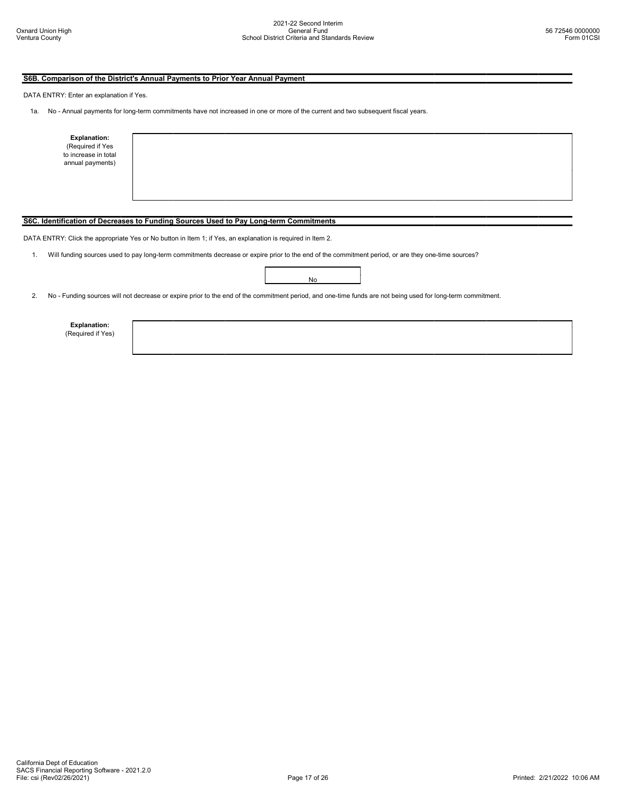# S6B. Comparison of the District's Annual Payments to Prior Year Annual Payment

DATA ENTRY: Enter an explanation if Yes.

1a. No - Annual payments for long-term commitments have not increased in one or more of the current and two subsequent fiscal years.

| <b>Explanation:</b><br>(Required if Yes<br>to increase in total<br>annual payments) |                                                                                                                                                    |
|-------------------------------------------------------------------------------------|----------------------------------------------------------------------------------------------------------------------------------------------------|
|                                                                                     |                                                                                                                                                    |
|                                                                                     | S6C. Identification of Decreases to Funding Sources Used to Pay Long-term Commitments                                                              |
|                                                                                     | DATA ENTRY: Click the appropriate Yes or No button in Item 1; if Yes, an explanation is required in Item 2.                                        |
|                                                                                     | Will funding sources used to pay long-term commitments decrease or expire prior to the end of the commitment period, or are they one-time sources? |
|                                                                                     | No                                                                                                                                                 |

2. No - Funding sources will not decrease or expire prior to the end of the commitment period, and one-time funds are not being used for long-term commitment.

Explanation: (Required if Yes)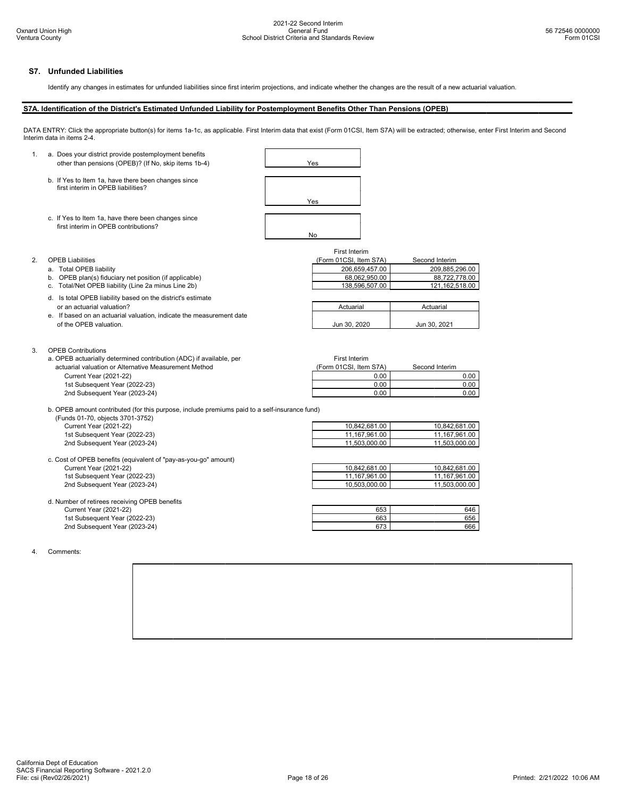# S7. Unfunded Liabilities

Identify any changes in estimates for unfunded liabilities since first interim projections, and indicate whether the changes are the result of a new actuarial valuation.

## S7A. Identification of the District's Estimated Unfunded Liability for Postemployment Benefits Other Than Pensions (OPEB)

DATA ENTRY: Click the appropriate button(s) for items 1a-1c, as applicable. First Interim data that exist (Form 01CSI, Item S7A) will be extracted; otherwise, enter First Interim and Second Interim data in items 2-4.





- a. Total OPEB liability
- 
- 
- d. Is total OPEB liability based on the district's estimate or an actuarial valuation?
- e. If based on an actuarial valuation, indicate the measurement date of the OPEB valuation.

### 3. OPEB Contributions

a. OPEB actuarially determined contribution (ADC) if available, per actuarial valuation or Alternative Measurement Method Current Year (2021-22) 1st Subsequent Year (2022-23) 2nd Subsequent Year (2023-24)

### First Interim

| <b>OPEB Liabilities</b>                                | (Form 01CSI, Item S7A) | Second Interim |
|--------------------------------------------------------|------------------------|----------------|
| Total OPEB liability                                   | 206.659.457.00         | 209.885.296.00 |
| b. OPEB plan(s) fiduciary net position (if applicable) | 68.062.950.00          | 88.722.778.00  |
| c. Total/Net OPEB liability (Line 2a minus Line 2b)    | 138.596.507.00         | 121.162.518.00 |

| Actuarial    | Actuarial    |
|--------------|--------------|
| Jun 30, 2020 | Jun 30, 2021 |

| First Interim          |                |
|------------------------|----------------|
| (Form 01CSI, Item S7A) | Second Interim |
| 0.00                   | 0.00           |
| 0.00                   | 0.OC           |
|                        |                |

b. OPEB amount contributed (for this purpose, include premiums paid to a self-insurance fund) (Funds 01-70, objects 3701-3752)

| <b>Current Year (2021-22)</b>                                   | 10.842.681.00 | 10.842.681.00 |
|-----------------------------------------------------------------|---------------|---------------|
| 1st Subsequent Year (2022-23)                                   | 11.167.961.00 | 11.167.961.00 |
| 2nd Subsequent Year (2023-24)                                   | 11.503.000.00 | 11.503.000.00 |
| c. Cost of OPEB benefits (equivalent of "pay-as-you-go" amount) |               |               |

| <b>Current Year (2021-22)</b>                 | 10,842,681.00 | 10.842.681.00 |
|-----------------------------------------------|---------------|---------------|
| 1st Subsequent Year (2022-23)                 | 11,167,961.00 | 11.167.961.00 |
| 2nd Subsequent Year (2023-24)                 | 10.503.000.00 | 11.503.000.00 |
| d. Number of retirees receiving OPEB benefits |               |               |
| <b>Current Year (2021-22)</b>                 | 653           | 646           |
| 1st Subsequent Year (2022-23)                 | 663           | 656           |
| 2nd Subsequent Year (2023-24)                 | 673           | 666           |

4. Comments: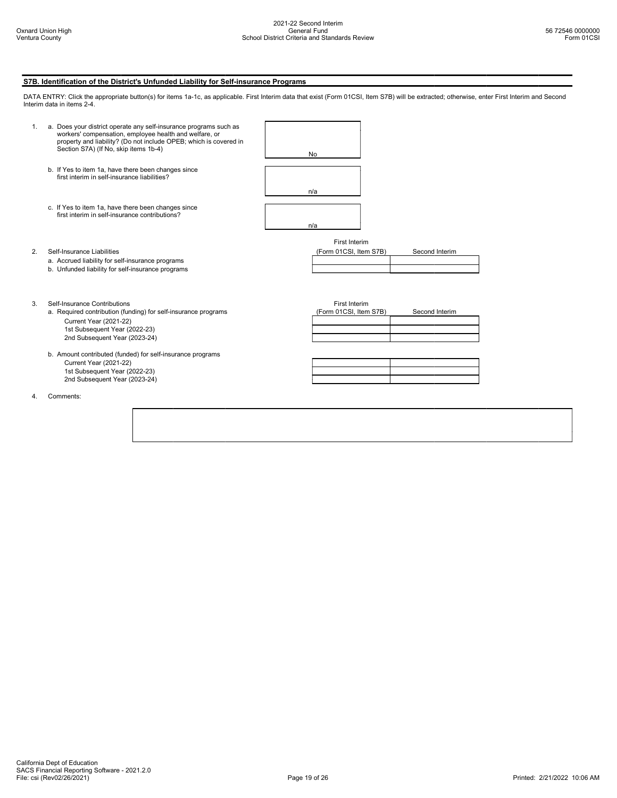S7B. Identification of the District's Unfunded Liability for Self-insurance Programs

# DATA ENTRY: Click the appropriate button(s) for items 1a-1c, as applicable. First Interim data that exist (Form 01CSI, Item S7B) will be extracted; otherwise, enter First Interim and Second Interim data in items 2-4. 1. a. Does your district operate any self-insurance programs such as workers' compensation, employee health and welfare, or property and liability? (Do not include OPEB; which is covered in Section S7A) (If No, skip items 1b-4) No b. If Yes to item 1a, have there been changes since first interim in self-insurance liabilities? n/a c. If Yes to item 1a, have there been changes since first interim in self-insurance contributions? n/a First Interim 2. Self-Insurance Liabilities (Form 01CSI, Item S7B) Second Interim a. Accrued liability for self-insurance programs b. Unfunded liability for self-insurance programs 3. Self-Insurance Contributions<br>
a. Required contribution (funding) for self-insurance programs (Form 01CSI, Item S7B) a. Required contribution (funding) for self-insurance programs (Form 01CSI, Item S7B) Second Interim Current Year (2021-22) 1st Subsequent Year (2022-23) 2nd Subsequent Year (2023-24) b. Amount contributed (funded) for self-insurance programs Current Year (2021-22) 1st Subsequent Year (2022-23) 2nd Subsequent Year (2023-24) 4. Comments: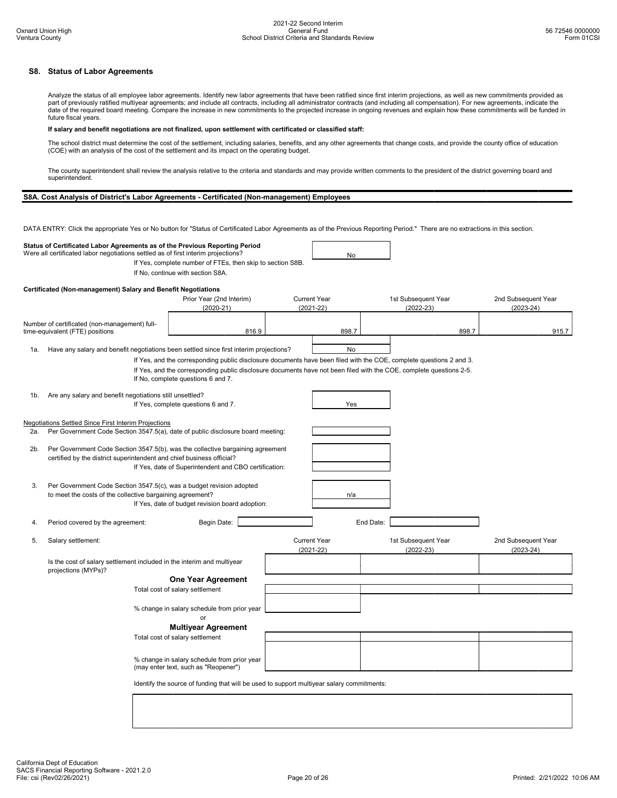# S8. Status of Labor Agreements

Analyze the status of all employee labor agreements. Identify new labor agreements that have been ratified since first interim projections, as well as new commitments provided as part of previously ratified multiyear agreements; and include all contracts, including all administrator contracts (and including all compensation). For new agreements, indicate the date of the required board meeting. Compare the increase in new commitments to the projected increase in ongoing revenues and explain how these commitments will be funded in future fiscal years.

### If salary and benefit negotiations are not finalized, upon settlement with certificated or classified staff:

The school district must determine the cost of the settlement, including salaries, benefits, and any other agreements that change costs, and provide the county office of education (COE) with an analysis of the cost of the settlement and its impact on the operating budget.

The county superintendent shall review the analysis relative to the criteria and standards and may provide written comments to the president of the district governing board and superintendent.

# S8A. Cost Analysis of District's Labor Agreements - Certificated (Non-management) Employees

DATA ENTRY: Click the appropriate Yes or No button for "Status of Certificated Labor Agreements as of the Previous Reporting Period." There are no extractions in this section.

### Status of Certificated Labor Agreements as of the Previous Reporting Period Were all certificated labor negotiations settled as of first interim projections?

If Yes, complete number of FTEs, then skip to section S8B.

If No, continue with section S8A.

## Certificated (Non-management) Salary and Benefit Negotiations

|        |                                                                                                                                                                                      | Prior Year (2nd Interim)<br>$(2020-21)$                                                                                                                   | <b>Current Year</b><br>$(2021 - 22)$ |           | 1st Subsequent Year<br>$(2022 - 23)$ | 2nd Subsequent Year<br>$(2023 - 24)$ |
|--------|--------------------------------------------------------------------------------------------------------------------------------------------------------------------------------------|-----------------------------------------------------------------------------------------------------------------------------------------------------------|--------------------------------------|-----------|--------------------------------------|--------------------------------------|
|        | Number of certificated (non-management) full-<br>time-equivalent (FTE) positions                                                                                                     | 816.9                                                                                                                                                     | 898.7                                |           | 898.7                                | 915.7                                |
| 1a.    | Have any salary and benefit negotiations been settled since first interim projections?                                                                                               |                                                                                                                                                           | No                                   |           |                                      |                                      |
|        |                                                                                                                                                                                      | If Yes, and the corresponding public disclosure documents have been filed with the COE, complete questions 2 and 3.                                       |                                      |           |                                      |                                      |
|        |                                                                                                                                                                                      | If Yes, and the corresponding public disclosure documents have not been filed with the COE, complete questions 2-5.<br>If No, complete questions 6 and 7. |                                      |           |                                      |                                      |
| 1b.    | Are any salary and benefit negotiations still unsettled?                                                                                                                             | If Yes, complete questions 6 and 7.                                                                                                                       | Yes                                  |           |                                      |                                      |
|        | Negotiations Settled Since First Interim Projections                                                                                                                                 |                                                                                                                                                           |                                      |           |                                      |                                      |
| 2a.    | Per Government Code Section 3547.5(a), date of public disclosure board meeting:                                                                                                      |                                                                                                                                                           |                                      |           |                                      |                                      |
| $2b$ . | Per Government Code Section 3547.5(b), was the collective bargaining agreement<br>certified by the district superintendent and chief business official?                              | If Yes, date of Superintendent and CBO certification:                                                                                                     |                                      |           |                                      |                                      |
| 3.     | Per Government Code Section 3547.5(c), was a budget revision adopted<br>to meet the costs of the collective bargaining agreement?<br>If Yes, date of budget revision board adoption: |                                                                                                                                                           | n/a                                  |           |                                      |                                      |
| 4.     | Period covered by the agreement:                                                                                                                                                     | Begin Date:                                                                                                                                               |                                      | End Date: |                                      |                                      |
| 5.     | Salary settlement:                                                                                                                                                                   |                                                                                                                                                           | <b>Current Year</b><br>$(2021 - 22)$ |           | 1st Subsequent Year<br>$(2022 - 23)$ | 2nd Subsequent Year<br>$(2023 - 24)$ |
|        | Is the cost of salary settlement included in the interim and multiyear<br>projections (MYPs)?                                                                                        |                                                                                                                                                           |                                      |           |                                      |                                      |
|        |                                                                                                                                                                                      | <b>One Year Agreement</b>                                                                                                                                 |                                      |           |                                      |                                      |
|        |                                                                                                                                                                                      | Total cost of salary settlement                                                                                                                           |                                      |           |                                      |                                      |
|        |                                                                                                                                                                                      | % change in salary schedule from prior year<br>or                                                                                                         |                                      |           |                                      |                                      |
|        |                                                                                                                                                                                      | <b>Multiyear Agreement</b>                                                                                                                                |                                      |           |                                      |                                      |
|        |                                                                                                                                                                                      | Total cost of salary settlement                                                                                                                           |                                      |           |                                      |                                      |
|        |                                                                                                                                                                                      | % change in salary schedule from prior year<br>(may enter text, such as "Reopener")                                                                       |                                      |           |                                      |                                      |
|        |                                                                                                                                                                                      | Identify the source of funding that will be used to support multiyear salary commitments:                                                                 |                                      |           |                                      |                                      |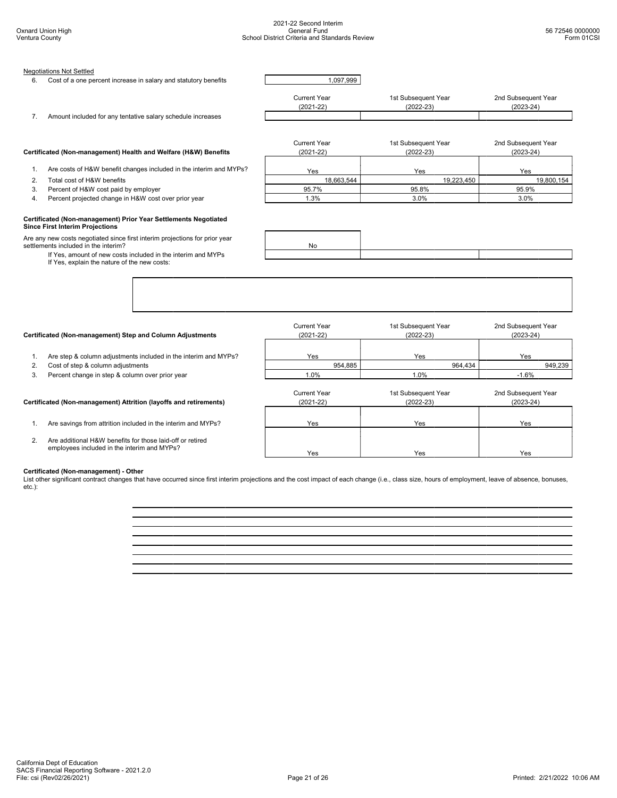| 6. | <b>Negotiations Not Settled</b><br>Cost of a one percent increase in salary and statutory benefits                                                                                                                                  | 1,097,999                            |                                      |                                      |
|----|-------------------------------------------------------------------------------------------------------------------------------------------------------------------------------------------------------------------------------------|--------------------------------------|--------------------------------------|--------------------------------------|
| 7. | Amount included for any tentative salary schedule increases                                                                                                                                                                         | <b>Current Year</b><br>$(2021 - 22)$ | 1st Subsequent Year<br>$(2022 - 23)$ | 2nd Subsequent Year<br>$(2023 - 24)$ |
|    | Certificated (Non-management) Health and Welfare (H&W) Benefits                                                                                                                                                                     | <b>Current Year</b><br>$(2021 - 22)$ | 1st Subsequent Year<br>$(2022 - 23)$ | 2nd Subsequent Year<br>$(2023 - 24)$ |
| 1. | Are costs of H&W benefit changes included in the interim and MYPs?                                                                                                                                                                  |                                      |                                      |                                      |
| 2. | Total cost of H&W benefits                                                                                                                                                                                                          | Yes                                  | Yes                                  | Yes                                  |
| 3. | Percent of H&W cost paid by employer                                                                                                                                                                                                | 18,663,544<br>95.7%                  | 19,223,450<br>95.8%                  | 19,800,154<br>95.9%                  |
| 4. | Percent projected change in H&W cost over prior year                                                                                                                                                                                | 1.3%                                 | 3.0%                                 | 3.0%                                 |
|    | Are any new costs negotiated since first interim projections for prior year<br>settlements included in the interim?<br>If Yes, amount of new costs included in the interim and MYPs<br>If Yes, explain the nature of the new costs: | No                                   |                                      |                                      |
|    | Certificated (Non-management) Step and Column Adjustments                                                                                                                                                                           | <b>Current Year</b><br>$(2021 - 22)$ | 1st Subsequent Year<br>$(2022 - 23)$ | 2nd Subsequent Year<br>$(2023 - 24)$ |
|    |                                                                                                                                                                                                                                     |                                      |                                      |                                      |
| 1. | Are step & column adjustments included in the interim and MYPs?                                                                                                                                                                     | Yes                                  | Yes                                  | Yes                                  |
| 2. | Cost of step & column adjustments                                                                                                                                                                                                   | 954,885                              | 964,434                              | 949,239                              |
| 3. | Percent change in step & column over prior year                                                                                                                                                                                     | 1.0%                                 | 1.0%                                 | $-1.6%$                              |
|    | Certificated (Non-management) Attrition (layoffs and retirements)                                                                                                                                                                   | <b>Current Year</b><br>$(2021 - 22)$ | 1st Subsequent Year<br>$(2022 - 23)$ | 2nd Subsequent Year<br>$(2023 - 24)$ |
| 1. | Are savings from attrition included in the interim and MYPs?                                                                                                                                                                        | Yes                                  | Yes                                  | Yes                                  |
| 2. | Are additional H&W benefits for those laid-off or retired<br>employees included in the interim and MYPs?                                                                                                                            | Yes                                  | Yes                                  | Yes                                  |

**Certificated (Non-management) - Other**<br>List other significant contract changes that have occurred since first interim projections and the cost impact of each change (i.e., class size, hours of employment, leave of absence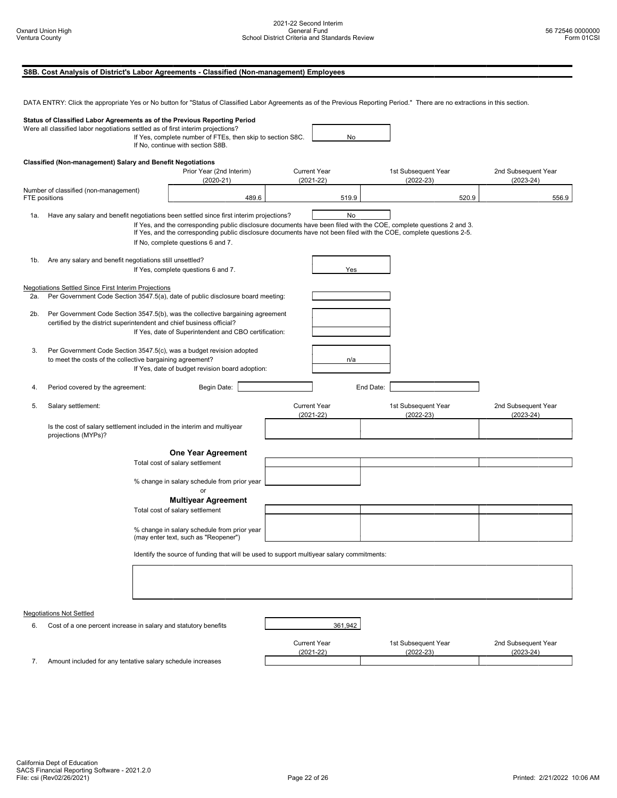|                                                                                                                                                                                                                                                                 |                                                                                                                                                                                      |                                                                        | S8B. Cost Analysis of District's Labor Agreements - Classified (Non-management) Employees                                                                                                                                                                                                                                                                                  |                                      |                                      |                                      |                                      |
|-----------------------------------------------------------------------------------------------------------------------------------------------------------------------------------------------------------------------------------------------------------------|--------------------------------------------------------------------------------------------------------------------------------------------------------------------------------------|------------------------------------------------------------------------|----------------------------------------------------------------------------------------------------------------------------------------------------------------------------------------------------------------------------------------------------------------------------------------------------------------------------------------------------------------------------|--------------------------------------|--------------------------------------|--------------------------------------|--------------------------------------|
|                                                                                                                                                                                                                                                                 |                                                                                                                                                                                      |                                                                        | DATA ENTRY: Click the appropriate Yes or No button for "Status of Classified Labor Agreements as of the Previous Reporting Period." There are no extractions in this section.                                                                                                                                                                                              |                                      |                                      |                                      |                                      |
| Status of Classified Labor Agreements as of the Previous Reporting Period<br>Were all classified labor negotiations settled as of first interim projections?<br>If Yes, complete number of FTEs, then skip to section S8C.<br>If No, continue with section S8B. |                                                                                                                                                                                      |                                                                        |                                                                                                                                                                                                                                                                                                                                                                            | No                                   |                                      |                                      |                                      |
|                                                                                                                                                                                                                                                                 | Classified (Non-management) Salary and Benefit Negotiations                                                                                                                          |                                                                        | Prior Year (2nd Interim)<br>$(2020-21)$                                                                                                                                                                                                                                                                                                                                    | <b>Current Year</b><br>$(2021 - 22)$ |                                      | 1st Subsequent Year<br>$(2022 - 23)$ | 2nd Subsequent Year<br>$(2023 - 24)$ |
|                                                                                                                                                                                                                                                                 | Number of classified (non-management)<br>FTE positions                                                                                                                               |                                                                        | 489.6                                                                                                                                                                                                                                                                                                                                                                      | 519.9                                |                                      | 520.9                                | 556.9                                |
| 1a.                                                                                                                                                                                                                                                             |                                                                                                                                                                                      |                                                                        | Have any salary and benefit negotiations been settled since first interim projections?<br>If Yes, and the corresponding public disclosure documents have been filed with the COE, complete questions 2 and 3.<br>If Yes, and the corresponding public disclosure documents have not been filed with the COE, complete questions 2-5.<br>If No, complete questions 6 and 7. | No                                   |                                      |                                      |                                      |
| 1b.                                                                                                                                                                                                                                                             | Are any salary and benefit negotiations still unsettled?                                                                                                                             |                                                                        | If Yes, complete questions 6 and 7.                                                                                                                                                                                                                                                                                                                                        | Yes                                  |                                      |                                      |                                      |
| 2a.                                                                                                                                                                                                                                                             | Negotiations Settled Since First Interim Projections                                                                                                                                 |                                                                        | Per Government Code Section 3547.5(a), date of public disclosure board meeting:                                                                                                                                                                                                                                                                                            |                                      |                                      |                                      |                                      |
| 2b.                                                                                                                                                                                                                                                             | certified by the district superintendent and chief business official?                                                                                                                |                                                                        | Per Government Code Section 3547.5(b), was the collective bargaining agreement<br>If Yes, date of Superintendent and CBO certification:                                                                                                                                                                                                                                    |                                      |                                      |                                      |                                      |
| 3.                                                                                                                                                                                                                                                              | Per Government Code Section 3547.5(c), was a budget revision adopted<br>to meet the costs of the collective bargaining agreement?<br>If Yes, date of budget revision board adoption: |                                                                        |                                                                                                                                                                                                                                                                                                                                                                            | n/a                                  |                                      |                                      |                                      |
| 4.                                                                                                                                                                                                                                                              | Period covered by the agreement:                                                                                                                                                     |                                                                        | Begin Date:                                                                                                                                                                                                                                                                                                                                                                |                                      | End Date:                            |                                      |                                      |
| 5.                                                                                                                                                                                                                                                              | Salary settlement:                                                                                                                                                                   |                                                                        | <b>Current Year</b><br>$(2021 - 22)$                                                                                                                                                                                                                                                                                                                                       |                                      | 1st Subsequent Year<br>$(2022 - 23)$ | 2nd Subsequent Year<br>$(2023 - 24)$ |                                      |
|                                                                                                                                                                                                                                                                 | projections (MYPs)?                                                                                                                                                                  | Is the cost of salary settlement included in the interim and multiyear |                                                                                                                                                                                                                                                                                                                                                                            |                                      |                                      |                                      |                                      |
|                                                                                                                                                                                                                                                                 |                                                                                                                                                                                      |                                                                        | One Year Agreement<br>Total cost of salary settlement<br>% change in salary schedule from prior year                                                                                                                                                                                                                                                                       |                                      |                                      |                                      |                                      |
|                                                                                                                                                                                                                                                                 |                                                                                                                                                                                      |                                                                        | or<br><b>Multiyear Agreement</b><br>Total cost of salary settlement                                                                                                                                                                                                                                                                                                        |                                      |                                      |                                      |                                      |
|                                                                                                                                                                                                                                                                 |                                                                                                                                                                                      |                                                                        | % change in salary schedule from prior year<br>(may enter text, such as "Reopener")                                                                                                                                                                                                                                                                                        |                                      |                                      |                                      |                                      |
|                                                                                                                                                                                                                                                                 |                                                                                                                                                                                      |                                                                        | Identify the source of funding that will be used to support multiyear salary commitments:                                                                                                                                                                                                                                                                                  |                                      |                                      |                                      |                                      |
|                                                                                                                                                                                                                                                                 |                                                                                                                                                                                      |                                                                        |                                                                                                                                                                                                                                                                                                                                                                            |                                      |                                      |                                      |                                      |
|                                                                                                                                                                                                                                                                 | Negotiations Not Settled                                                                                                                                                             |                                                                        |                                                                                                                                                                                                                                                                                                                                                                            |                                      |                                      |                                      |                                      |
| 6.                                                                                                                                                                                                                                                              | Cost of a one percent increase in salary and statutory benefits                                                                                                                      |                                                                        |                                                                                                                                                                                                                                                                                                                                                                            | 361,942                              |                                      |                                      |                                      |
| 7.                                                                                                                                                                                                                                                              | Amount included for any tentative salary schedule increases                                                                                                                          |                                                                        |                                                                                                                                                                                                                                                                                                                                                                            | <b>Current Year</b><br>$(2021 - 22)$ |                                      | 1st Subsequent Year<br>$(2022 - 23)$ | 2nd Subsequent Year<br>$(2023 - 24)$ |
|                                                                                                                                                                                                                                                                 |                                                                                                                                                                                      |                                                                        |                                                                                                                                                                                                                                                                                                                                                                            |                                      |                                      |                                      |                                      |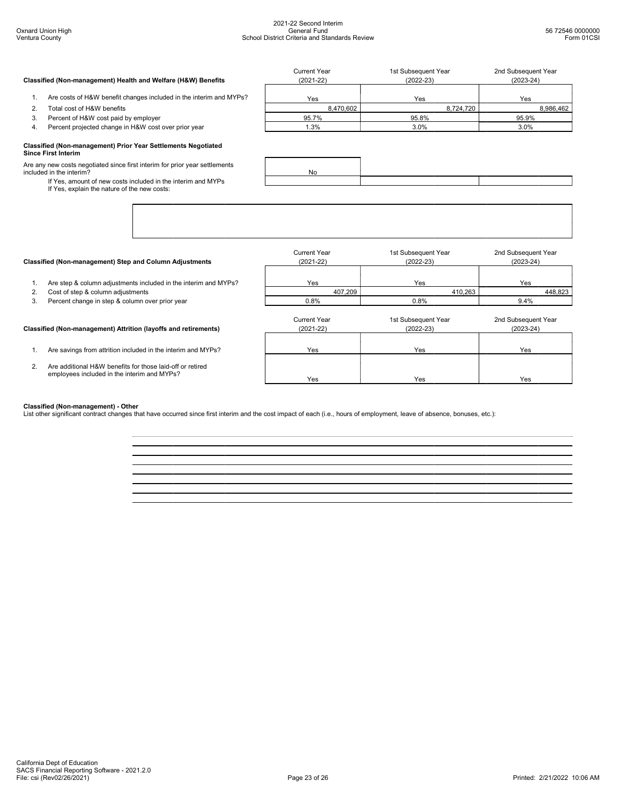| Classified (Non-management) Health and Welfare (H&W) Benefits |                                                                    | Current Year<br>$(2021 - 22)$ | 1st Subsequent Year<br>$(2022-23)$ | 2nd Subsequent Year<br>$(2023 - 24)$ |  |
|---------------------------------------------------------------|--------------------------------------------------------------------|-------------------------------|------------------------------------|--------------------------------------|--|
|                                                               | Are costs of H&W benefit changes included in the interim and MYPs? | Yes                           | Yes                                | Yes                                  |  |
|                                                               | Total cost of H&W benefits                                         | 8,470,602                     | 8.724.720                          | 8,986,462                            |  |
|                                                               | Percent of H&W cost paid by employer                               | 95.7%                         | 95.8%                              | 95.9%                                |  |
| 4.                                                            | Percent projected change in H&W cost over prior year               | .3%                           | 3.0%                               | 3.0%                                 |  |
|                                                               | Classified (Non-management) Prior Year Settlements Negotiated      |                               |                                    |                                      |  |

### Classified (Non-management) Prior Year Settlements Negotiated Since First Interim

Are any new costs negotiated since first interim for prior year settlements included in the interim?

If Yes, amount of new costs included in the interim and MYPs If Yes, explain the nature of the new costs:

| Classified (Non-management) Step and Column Adjustments                                                        | Current Year<br>$(2021 - 22)$        | 1st Subsequent Year<br>$(2022-23)$   | 2nd Subsequent Year<br>$(2023-24)$ |
|----------------------------------------------------------------------------------------------------------------|--------------------------------------|--------------------------------------|------------------------------------|
| Are step & column adjustments included in the interim and MYPs?                                                | Yes                                  | Yes                                  | Yes                                |
| Cost of step & column adjustments<br>2.                                                                        | 407,209                              | 410,263                              | 448,823                            |
| Percent change in step & column over prior year<br>3.                                                          | 0.8%                                 | 0.8%                                 | $9.4\%$                            |
| Classified (Non-management) Attrition (layoffs and retirements)                                                | <b>Current Year</b><br>$(2021 - 22)$ | 1st Subsequent Year<br>$(2022 - 23)$ | 2nd Subsequent Year<br>$(2023-24)$ |
| Are savings from attrition included in the interim and MYPs?                                                   | Yes                                  | Yes                                  | Yes                                |
| Are additional H&W benefits for those laid-off or retired<br>2.<br>employees included in the interim and MYPs? | Yes                                  | Yes                                  | Yes                                |

**Classified (Non-management) - Other**<br>List other significant contract changes that have occurred since first interim and the cost impact of each (i.e., hours of employment, leave of absence, bonuses, etc.):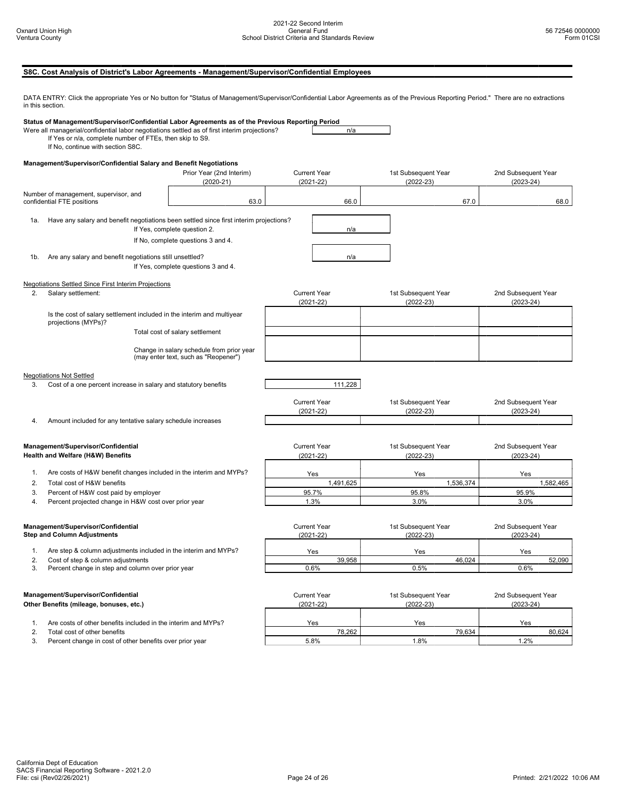# S8C. Cost Analysis of District's Labor Agreements - Management/Supervisor/Confidential Employees

DATA ENTRY: Click the appropriate Yes or No button for "Status of Management/Supervisor/Confidential Labor Agreements as of the Previous Reporting Period." There are no extractions in this section.

|                                                                     | Status of Management/Supervisor/Confidential Labor Agreements as of the Previous Reporting Period<br>Were all managerial/confidential labor negotiations settled as of first interim projections?<br>If Yes or n/a, complete number of FTEs, then skip to S9.<br>If No, continue with section S8C. |                                                                                   |                     | n/a                 |                     |                     |
|---------------------------------------------------------------------|----------------------------------------------------------------------------------------------------------------------------------------------------------------------------------------------------------------------------------------------------------------------------------------------------|-----------------------------------------------------------------------------------|---------------------|---------------------|---------------------|---------------------|
|                                                                     | Management/Supervisor/Confidential Salary and Benefit Negotiations                                                                                                                                                                                                                                 |                                                                                   |                     |                     |                     |                     |
|                                                                     |                                                                                                                                                                                                                                                                                                    | Prior Year (2nd Interim)                                                          | <b>Current Year</b> |                     | 1st Subsequent Year | 2nd Subsequent Year |
|                                                                     |                                                                                                                                                                                                                                                                                                    | $(2020-21)$                                                                       | $(2021 - 22)$       |                     | $(2022-23)$         | $(2023 - 24)$       |
| Number of management, supervisor, and<br>confidential FTE positions |                                                                                                                                                                                                                                                                                                    | 63.0                                                                              | 66.0                |                     | 67.0                | 68.0                |
| 1a.                                                                 | Have any salary and benefit negotiations been settled since first interim projections?                                                                                                                                                                                                             | If Yes, complete question 2.                                                      |                     | n/a                 |                     |                     |
|                                                                     |                                                                                                                                                                                                                                                                                                    | If No, complete questions 3 and 4.                                                |                     |                     |                     |                     |
| 1b.                                                                 | Are any salary and benefit negotiations still unsettled?                                                                                                                                                                                                                                           | If Yes, complete questions 3 and 4.                                               |                     | n/a                 |                     |                     |
|                                                                     | <b>Negotiations Settled Since First Interim Projections</b>                                                                                                                                                                                                                                        |                                                                                   |                     |                     |                     |                     |
| 2.                                                                  | Salary settlement:                                                                                                                                                                                                                                                                                 |                                                                                   | <b>Current Year</b> |                     | 1st Subsequent Year | 2nd Subsequent Year |
|                                                                     |                                                                                                                                                                                                                                                                                                    |                                                                                   | $(2021 - 22)$       |                     | $(2022-23)$         | $(2023 - 24)$       |
|                                                                     | Is the cost of salary settlement included in the interim and multiyear<br>projections (MYPs)?                                                                                                                                                                                                      |                                                                                   |                     |                     |                     |                     |
|                                                                     |                                                                                                                                                                                                                                                                                                    | Total cost of salary settlement                                                   |                     |                     |                     |                     |
|                                                                     |                                                                                                                                                                                                                                                                                                    | Change in salary schedule from prior year<br>(may enter text, such as "Reopener") |                     |                     |                     |                     |
|                                                                     |                                                                                                                                                                                                                                                                                                    |                                                                                   |                     |                     |                     |                     |
|                                                                     | <b>Negotiations Not Settled</b>                                                                                                                                                                                                                                                                    |                                                                                   |                     |                     |                     |                     |
| 3.                                                                  | Cost of a one percent increase in salary and statutory benefits                                                                                                                                                                                                                                    |                                                                                   | 111,228             |                     |                     |                     |
|                                                                     |                                                                                                                                                                                                                                                                                                    |                                                                                   | <b>Current Year</b> |                     | 1st Subsequent Year | 2nd Subsequent Year |
|                                                                     |                                                                                                                                                                                                                                                                                                    |                                                                                   | $(2021 - 22)$       |                     | $(2022-23)$         | $(2023 - 24)$       |
| 4.                                                                  | Amount included for any tentative salary schedule increases                                                                                                                                                                                                                                        |                                                                                   |                     |                     |                     |                     |
|                                                                     |                                                                                                                                                                                                                                                                                                    |                                                                                   |                     |                     |                     |                     |
| Management/Supervisor/Confidential                                  |                                                                                                                                                                                                                                                                                                    | <b>Current Year</b>                                                               |                     | 1st Subsequent Year | 2nd Subsequent Year |                     |
|                                                                     | Health and Welfare (H&W) Benefits                                                                                                                                                                                                                                                                  |                                                                                   | $(2021 - 22)$       |                     | $(2022 - 23)$       | $(2023 - 24)$       |
| 1.                                                                  | Are costs of H&W benefit changes included in the interim and MYPs?                                                                                                                                                                                                                                 |                                                                                   |                     |                     |                     |                     |
| 2.                                                                  | Total cost of H&W benefits                                                                                                                                                                                                                                                                         |                                                                                   | Yes<br>1,491,625    |                     | Yes<br>1,536,374    | Yes<br>1,582,465    |
| 3.                                                                  | Percent of H&W cost paid by employer                                                                                                                                                                                                                                                               |                                                                                   | 95.7%               |                     | 95.8%               | 95.9%               |
| 4.<br>Percent projected change in H&W cost over prior year          |                                                                                                                                                                                                                                                                                                    | 1.3%                                                                              |                     | 3.0%                | 3.0%                |                     |
|                                                                     |                                                                                                                                                                                                                                                                                                    |                                                                                   |                     |                     |                     |                     |
|                                                                     | Management/Supervisor/Confidential                                                                                                                                                                                                                                                                 |                                                                                   | <b>Current Year</b> |                     | 1st Subsequent Year | 2nd Subsequent Year |
|                                                                     | <b>Step and Column Adjustments</b>                                                                                                                                                                                                                                                                 |                                                                                   | $(2021 - 22)$       |                     | $(2022 - 23)$       | $(2023 - 24)$       |
|                                                                     |                                                                                                                                                                                                                                                                                                    |                                                                                   |                     |                     |                     |                     |
| 1.                                                                  | Are step & column adjustments included in the interim and MYPs?                                                                                                                                                                                                                                    |                                                                                   | Yes                 |                     | Yes                 | Yes                 |
| 2.                                                                  | Cost of step & column adjustments<br>Percent change in step and column over prior year                                                                                                                                                                                                             |                                                                                   | 39,958<br>0.6%      |                     | 46,024<br>0.5%      | 52,090<br>0.6%      |
|                                                                     |                                                                                                                                                                                                                                                                                                    |                                                                                   |                     |                     |                     |                     |
|                                                                     |                                                                                                                                                                                                                                                                                                    |                                                                                   |                     |                     |                     |                     |
|                                                                     | Management/Supervisor/Confidential                                                                                                                                                                                                                                                                 |                                                                                   | <b>Current Year</b> |                     | 1st Subsequent Year | 2nd Subsequent Year |
|                                                                     | Other Benefits (mileage, bonuses, etc.)                                                                                                                                                                                                                                                            |                                                                                   | $(2021 - 22)$       |                     | $(2022-23)$         | $(2023 - 24)$       |
| 1.                                                                  | Are costs of other benefits included in the interim and MYPs?                                                                                                                                                                                                                                      |                                                                                   | Yes                 |                     | Yes                 | Yes                 |
| 2.                                                                  | Total cost of other benefits                                                                                                                                                                                                                                                                       |                                                                                   | 78,262              |                     | 79,634              | 80,624              |
| 3.                                                                  | Percent change in cost of other benefits over prior year                                                                                                                                                                                                                                           |                                                                                   | 5.8%                |                     | 1.8%                | 1.2%                |
|                                                                     |                                                                                                                                                                                                                                                                                                    |                                                                                   |                     |                     |                     |                     |
|                                                                     |                                                                                                                                                                                                                                                                                                    |                                                                                   |                     |                     |                     |                     |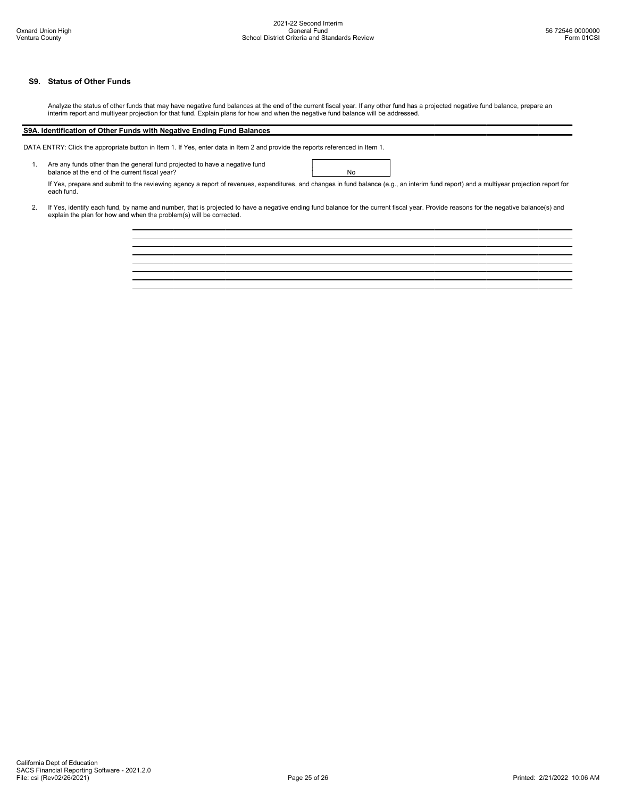# S9. Status of Other Funds

Analyze the status of other funds that may have negative fund balances at the end of the current fiscal year. If any other fund has a projected negative fund balance, prepare an interim report and multiyear projection for that fund. Explain plans for how and when the negative fund balance will be addressed.

# S9A. Identification of Other Funds with Negative Ending Fund Balances

DATA ENTRY: Click the appropriate button in Item 1. If Yes, enter data in Item 2 and provide the reports referenced in Item 1.

1. Are any funds other than the general fund projected to have a negative fund balance at the end of the current fiscal year? No

If Yes, prepare and submit to the reviewing agency a report of revenues, expenditures, and changes in fund balance (e.g., an interim fund report) and a multiyear projection report for each fund.

2. If Yes, identify each fund, by name and number, that is projected to have a negative ending fund balance for the current fiscal year. Provide reasons for the negative balance(s) and<br>explain the plan for how and when the